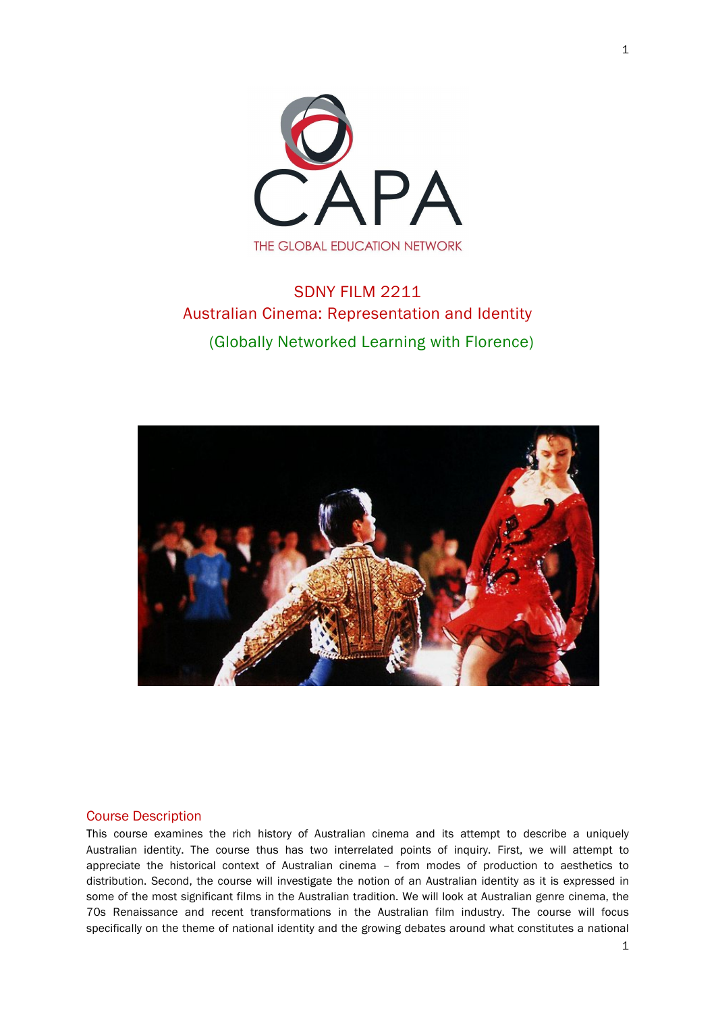

# SDNY FILM 2211 Australian Cinema: Representation and Identity (Globally Networked Learning with Florence)



# Course Description

This course examines the rich history of Australian cinema and its attempt to describe a uniquely Australian identity. The course thus has two interrelated points of inquiry. First, we will attempt to appreciate the historical context of Australian cinema – from modes of production to aesthetics to distribution. Second, the course will investigate the notion of an Australian identity as it is expressed in some of the most significant films in the Australian tradition. We will look at Australian genre cinema, the 70s Renaissance and recent transformations in the Australian film industry. The course will focus specifically on the theme of national identity and the growing debates around what constitutes a national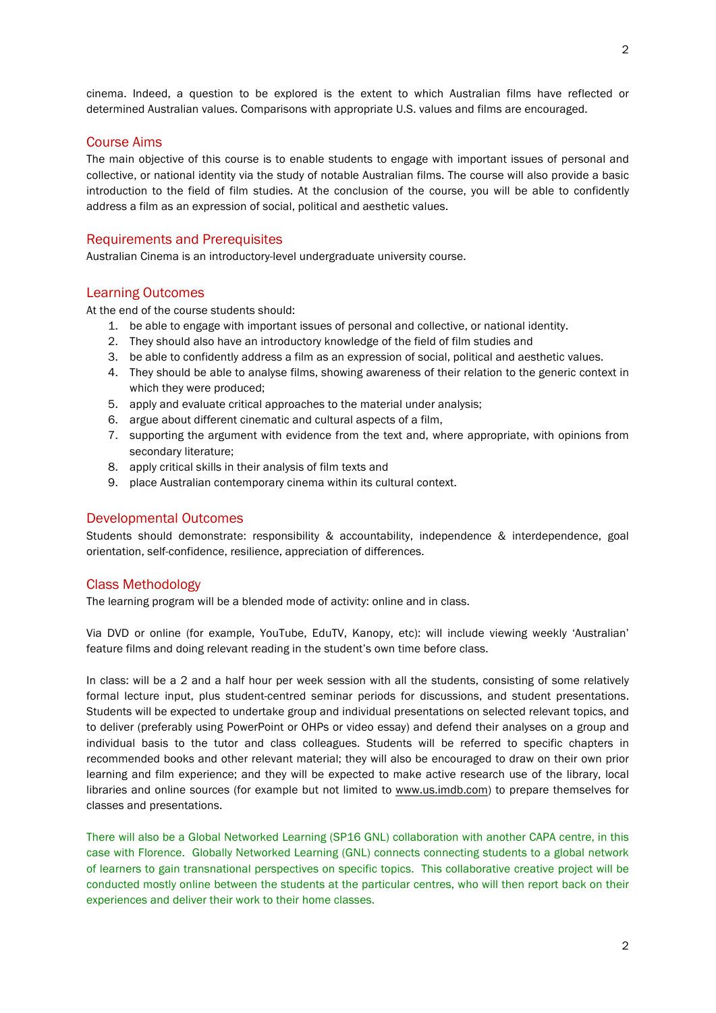cinema. Indeed, a question to be explored is the extent to which Australian films have reflected or determined Australian values. Comparisons with appropriate U.S. values and films are encouraged.

# Course Aims

The main objective of this course is to enable students to engage with important issues of personal and collective, or national identity via the study of notable Australian films. The course will also provide a basic introduction to the field of film studies. At the conclusion of the course, you will be able to confidently address a film as an expression of social, political and aesthetic values.

# Requirements and Prerequisites

Australian Cinema is an introductory-level undergraduate university course.

### Learning Outcomes

At the end of the course students should:

- 1. be able to engage with important issues of personal and collective, or national identity.
- 2. They should also have an introductory knowledge of the field of film studies and
- 3. be able to confidently address a film as an expression of social, political and aesthetic values.
- 4. They should be able to analyse films, showing awareness of their relation to the generic context in which they were produced;
- 5. apply and evaluate critical approaches to the material under analysis;
- 6. argue about different cinematic and cultural aspects of a film,
- 7. supporting the argument with evidence from the text and, where appropriate, with opinions from secondary literature;
- 8. apply critical skills in their analysis of film texts and
- 9. place Australian contemporary cinema within its cultural context.

# Developmental Outcomes

Students should demonstrate: responsibility & accountability, independence & interdependence, goal orientation, self-confidence, resilience, appreciation of differences.

# Class Methodology

The learning program will be a blended mode of activity: online and in class.

Via DVD or online (for example, YouTube, EduTV, Kanopy, etc): will include viewing weekly 'Australian' feature films and doing relevant reading in the student's own time before class.

In class: will be a 2 and a half hour per week session with all the students, consisting of some relatively formal lecture input, plus student-centred seminar periods for discussions, and student presentations. Students will be expected to undertake group and individual presentations on selected relevant topics, and to deliver (preferably using PowerPoint or OHPs or video essay) and defend their analyses on a group and individual basis to the tutor and class colleagues. Students will be referred to specific chapters in recommended books and other relevant material; they will also be encouraged to draw on their own prior learning and film experience; and they will be expected to make active research use of the library, local libraries and online sources (for example but not limited to www.us.imdb.com) to prepare themselves for classes and presentations.

There will also be a Global Networked Learning (SP16 GNL) collaboration with another CAPA centre, in this case with Florence. Globally Networked Learning (GNL) connects connecting students to a global network of learners to gain transnational perspectives on specific topics. This collaborative creative project will be conducted mostly online between the students at the particular centres, who will then report back on their experiences and deliver their work to their home classes.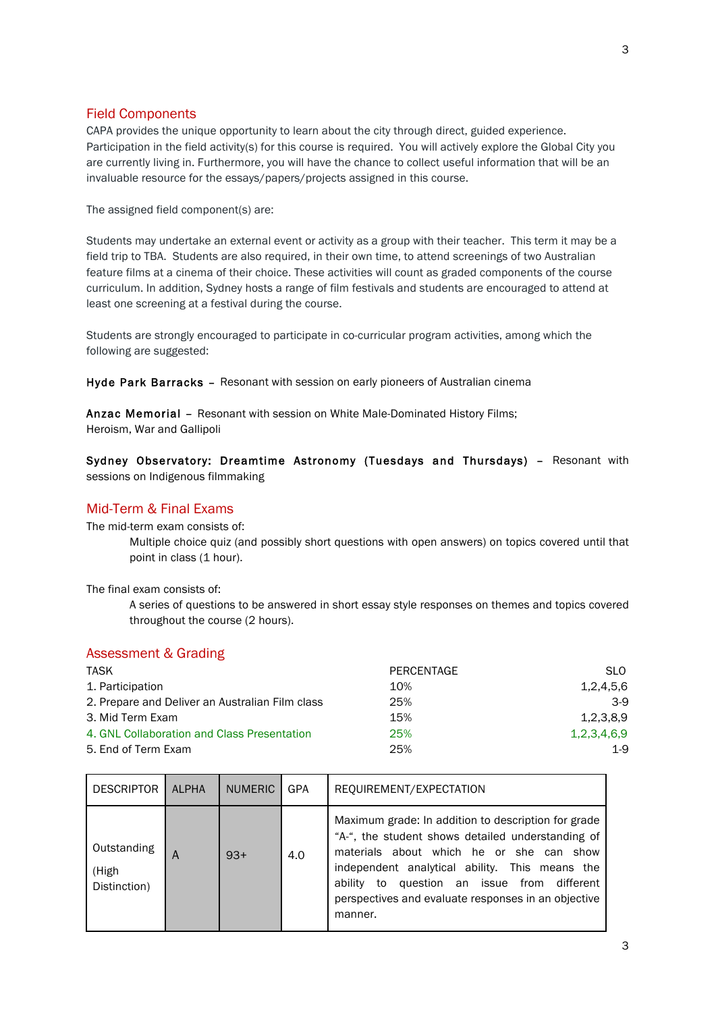# Field Components

CAPA provides the unique opportunity to learn about the city through direct, guided experience. Participation in the field activity(s) for this course is required. You will actively explore the Global City you are currently living in. Furthermore, you will have the chance to collect useful information that will be an invaluable resource for the essays/papers/projects assigned in this course.

The assigned field component(s) are:

Students may undertake an external event or activity as a group with their teacher. This term it may be a field trip to TBA. Students are also required, in their own time, to attend screenings of two Australian feature films at a cinema of their choice. These activities will count as graded components of the course curriculum. In addition, Sydney hosts a range of film festivals and students are encouraged to attend at least one screening at a festival during the course.

Students are strongly encouraged to participate in co-curricular program activities, among which the following are suggested:

Hyde Park Barracks – Resonant with session on early pioneers of Australian cinema

Anzac Memorial – Resonant with session on White Male-Dominated History Films; Heroism, War and Gallipoli

Sydney Observatory: Dreamtime Astronomy (Tuesdays and Thursdays) – Resonant with sessions on Indigenous filmmaking

# Mid-Term & Final Exams

The mid-term exam consists of:

Multiple choice quiz (and possibly short questions with open answers) on topics covered until that point in class (1 hour).

The final exam consists of:

A series of questions to be answered in short essay style responses on themes and topics covered throughout the course (2 hours).

# Assessment & Grading

| <b>TASK</b>                                     | PERCENTAGE | SLO.        |
|-------------------------------------------------|------------|-------------|
| 1. Participation                                | 10%        | 1,2,4,5,6   |
| 2. Prepare and Deliver an Australian Film class | 25%        | $3-9$       |
| 3. Mid Term Exam                                | 15%        | 1.2.3.8.9   |
| 4. GNL Collaboration and Class Presentation     | 25%        | 1,2,3,4,6,9 |
| 5. End of Term Exam                             | 25%        | $1-9$       |

| <b>DESCRIPTOR</b>                    | ALPHA | <b>NUMERIC</b> | <b>GPA</b> | REQUIREMENT/EXPECTATION                                                                                                                                                                                                                                                                                                       |
|--------------------------------------|-------|----------------|------------|-------------------------------------------------------------------------------------------------------------------------------------------------------------------------------------------------------------------------------------------------------------------------------------------------------------------------------|
| Outstanding<br>(High<br>Distinction) | A     | $93+$          | 4.0        | Maximum grade: In addition to description for grade<br>"A-", the student shows detailed understanding of<br>materials about which he or she can show<br>independent analytical ability. This means the<br>question an issue from different<br>ability<br>to<br>perspectives and evaluate responses in an objective<br>manner. |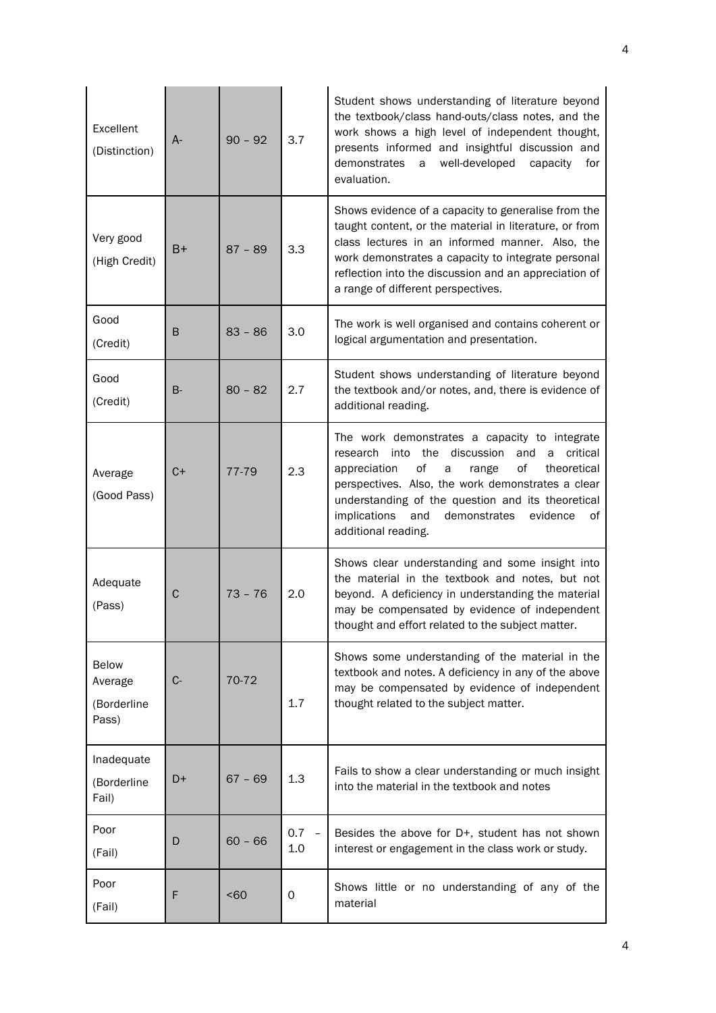| Excellent<br>(Distinction)                      | A-        | $90 - 92$ | 3.7                                    | Student shows understanding of literature beyond<br>the textbook/class hand-outs/class notes, and the<br>work shows a high level of independent thought,<br>presents informed and insightful discussion and<br>demonstrates<br>well-developed<br>a<br>capacity<br>for<br>evaluation.                                                                     |
|-------------------------------------------------|-----------|-----------|----------------------------------------|----------------------------------------------------------------------------------------------------------------------------------------------------------------------------------------------------------------------------------------------------------------------------------------------------------------------------------------------------------|
| Very good<br>(High Credit)                      | B+        | $87 - 89$ | 3.3                                    | Shows evidence of a capacity to generalise from the<br>taught content, or the material in literature, or from<br>class lectures in an informed manner. Also, the<br>work demonstrates a capacity to integrate personal<br>reflection into the discussion and an appreciation of<br>a range of different perspectives.                                    |
| Good<br>(Credit)                                | B         | $83 - 86$ | 3.0                                    | The work is well organised and contains coherent or<br>logical argumentation and presentation.                                                                                                                                                                                                                                                           |
| Good<br>(Credit)                                | <b>B-</b> | $80 - 82$ | 2.7                                    | Student shows understanding of literature beyond<br>the textbook and/or notes, and, there is evidence of<br>additional reading.                                                                                                                                                                                                                          |
| Average<br>(Good Pass)                          | $C+$      | 77-79     | 2.3                                    | The work demonstrates a capacity to integrate<br>research into the discussion<br>and<br>a<br>critical<br>οf<br>of<br>appreciation<br>theoretical<br>a<br>range<br>perspectives. Also, the work demonstrates a clear<br>understanding of the question and its theoretical<br>implications<br>and<br>demonstrates<br>evidence<br>οf<br>additional reading. |
| Adequate<br>(Pass)                              | С         | $73 - 76$ | 2.0                                    | Shows clear understanding and some insight into<br>the material in the textbook and notes, but not<br>beyond. A deficiency in understanding the material<br>may be compensated by evidence of independent<br>thought and effort related to the subject matter.                                                                                           |
| <b>Below</b><br>Average<br>(Borderline<br>Pass) | C-        | 70-72     | 1.7                                    | Shows some understanding of the material in the<br>textbook and notes. A deficiency in any of the above<br>may be compensated by evidence of independent<br>thought related to the subject matter.                                                                                                                                                       |
| Inadequate<br>(Borderline<br>Fail)              | D+        | $67 - 69$ | 1.3                                    | Fails to show a clear understanding or much insight<br>into the material in the textbook and notes                                                                                                                                                                                                                                                       |
| Poor<br>(Fail)                                  | D         | $60 - 66$ | 0.7<br>$\overline{\phantom{m}}$<br>1.0 | Besides the above for D+, student has not shown<br>interest or engagement in the class work or study.                                                                                                                                                                                                                                                    |
| Poor<br>(Fail)                                  | F         | <60       | 0                                      | Shows little or no understanding of any of the<br>material                                                                                                                                                                                                                                                                                               |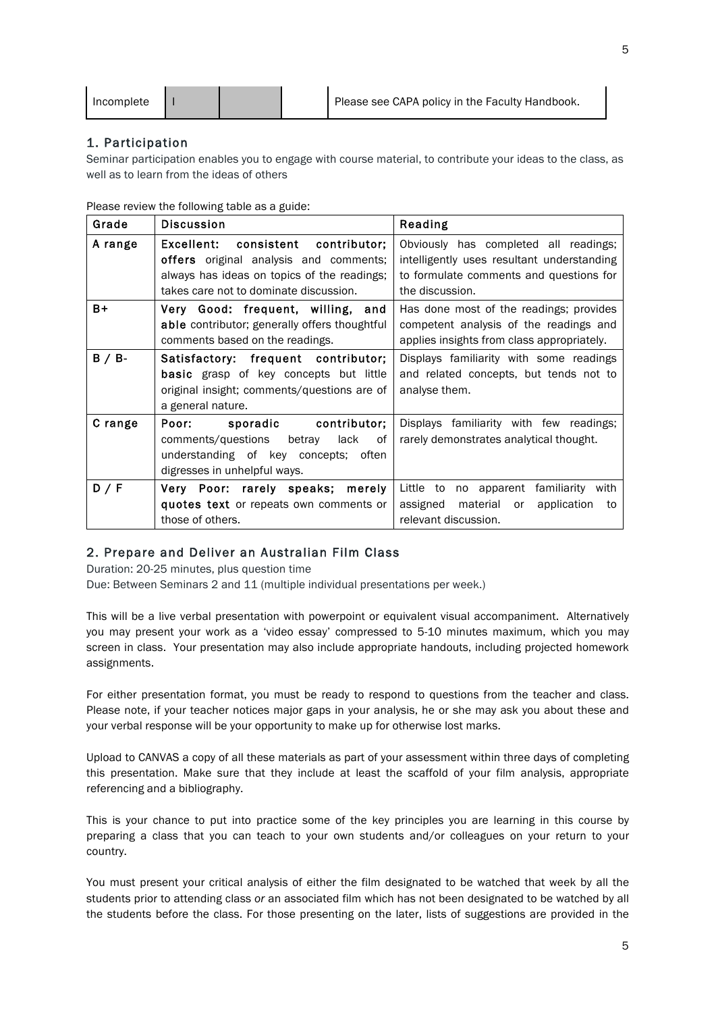| Incomplete |  |  |  | Please see CAPA policy in the Faculty Handbook. |
|------------|--|--|--|-------------------------------------------------|
|------------|--|--|--|-------------------------------------------------|

# 1. Participation

Seminar participation enables you to engage with course material, to contribute your ideas to the class, as well as to learn from the ideas of others

Please review the following table as a guide:

| Grade     | <b>Discussion</b>                                                                                                                                                            | Reading                                                                                                                                           |
|-----------|------------------------------------------------------------------------------------------------------------------------------------------------------------------------------|---------------------------------------------------------------------------------------------------------------------------------------------------|
| A range   | Excellent: consistent contributor;<br><b>offers</b> original analysis and comments;<br>always has ideas on topics of the readings;<br>takes care not to dominate discussion. | Obviously has completed all readings;<br>intelligently uses resultant understanding<br>to formulate comments and questions for<br>the discussion. |
| B+        | Very Good: frequent, willing, and<br>able contributor; generally offers thoughtful<br>comments based on the readings.                                                        | Has done most of the readings; provides<br>competent analysis of the readings and<br>applies insights from class appropriately.                   |
| $B / B$ - | Satisfactory: frequent contributor;<br><b>basic</b> grasp of key concepts but little<br>original insight; comments/questions are of<br>a general nature.                     | Displays familiarity with some readings<br>and related concepts, but tends not to<br>analyse them.                                                |
| C range   | sporadic contributor;<br>Poor:<br>comments/questions betray<br>lack<br>0f<br>understanding of key concepts; often<br>digresses in unhelpful ways.                            | Displays familiarity with few readings;<br>rarely demonstrates analytical thought.                                                                |
| D / F     | Very Poor: rarely speaks; merely<br>quotes text or repeats own comments or<br>those of others.                                                                               | Little to no apparent familiarity with<br>assigned<br>material or<br>application<br>to<br>relevant discussion.                                    |

# 2. Prepare and Deliver an Australian Film Class

Duration: 20-25 minutes, plus question time

Due: Between Seminars 2 and 11 (multiple individual presentations per week.)

This will be a live verbal presentation with powerpoint or equivalent visual accompaniment. Alternatively you may present your work as a 'video essay' compressed to 5-10 minutes maximum, which you may screen in class. Your presentation may also include appropriate handouts, including projected homework assignments.

For either presentation format, you must be ready to respond to questions from the teacher and class. Please note, if your teacher notices major gaps in your analysis, he or she may ask you about these and your verbal response will be your opportunity to make up for otherwise lost marks.

Upload to CANVAS a copy of all these materials as part of your assessment within three days of completing this presentation. Make sure that they include at least the scaffold of your film analysis, appropriate referencing and a bibliography.

This is your chance to put into practice some of the key principles you are learning in this course by preparing a class that you can teach to your own students and/or colleagues on your return to your country.

You must present your critical analysis of either the film designated to be watched that week by all the students prior to attending class *or* an associated film which has not been designated to be watched by all the students before the class. For those presenting on the later, lists of suggestions are provided in the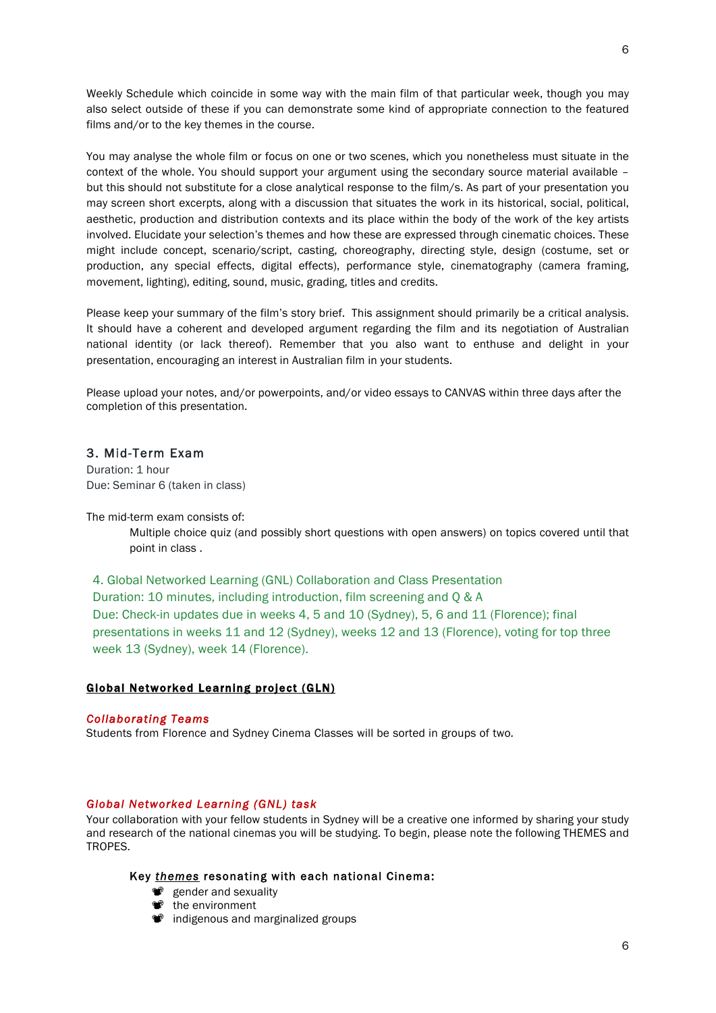Weekly Schedule which coincide in some way with the main film of that particular week, though you may also select outside of these if you can demonstrate some kind of appropriate connection to the featured films and/or to the key themes in the course.

You may analyse the whole film or focus on one or two scenes, which you nonetheless must situate in the context of the whole. You should support your argument using the secondary source material available – but this should not substitute for a close analytical response to the film/s. As part of your presentation you may screen short excerpts, along with a discussion that situates the work in its historical, social, political, aesthetic, production and distribution contexts and its place within the body of the work of the key artists involved. Elucidate your selection's themes and how these are expressed through cinematic choices. These might include concept, scenario/script, casting, choreography, directing style, design (costume, set or production, any special effects, digital effects), performance style, cinematography (camera framing, movement, lighting), editing, sound, music, grading, titles and credits.

Please keep your summary of the film's story brief. This assignment should primarily be a critical analysis. It should have a coherent and developed argument regarding the film and its negotiation of Australian national identity (or lack thereof). Remember that you also want to enthuse and delight in your presentation, encouraging an interest in Australian film in your students.

Please upload your notes, and/or powerpoints, and/or video essays to CANVAS within three days after the completion of this presentation.

# 3. Mid-Term Exam

Duration: 1 hour Due: Seminar 6 (taken in class)

The mid-term exam consists of:

Multiple choice quiz (and possibly short questions with open answers) on topics covered until that point in class .

4. Global Networked Learning (GNL) Collaboration and Class Presentation Duration: 10 minutes, including introduction, film screening and Q & A Due: Check-in updates due in weeks 4, 5 and 10 (Sydney), 5, 6 and 11 (Florence); final presentations in weeks 11 and 12 (Sydney), weeks 12 and 13 (Florence), voting for top three week 13 (Sydney), week 14 (Florence).

### Global Networked Learning project (GLN)

### *Collaborating Teams*

Students from Florence and Sydney Cinema Classes will be sorted in groups of two*.*

# *Global Networked Learning (GNL) task*

Your collaboration with your fellow students in Sydney will be a creative one informed by sharing your study and research of the national cinemas you will be studying. To begin, please note the following THEMES and TROPES.

# Key *themes* resonating with each national Cinema:

- *\*\** gender and sexuality
- <sup>n</sup> the environment
- $\bullet$  indigenous and marginalized groups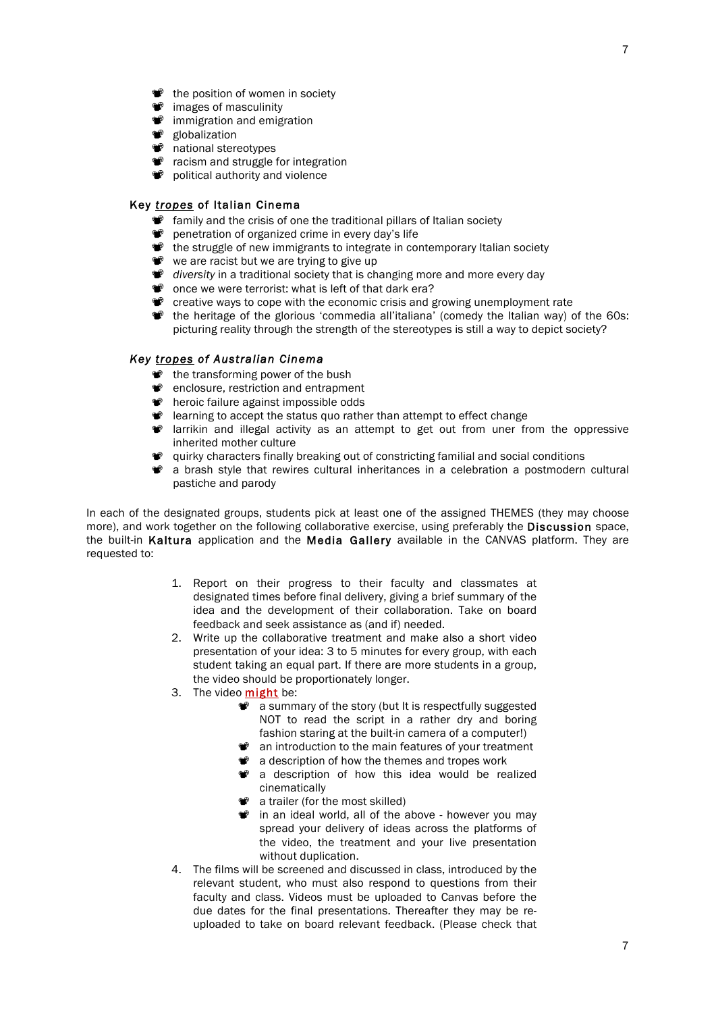- $\bullet$  the position of women in society
- $\bullet$  images of masculinity
- $\bullet$  immigration and emigration
- <sup>●</sup> globalization
- $\bullet$  national stereotypes
- **<sup>\*</sup>** racism and struggle for integration
- $\bullet$  political authority and violence

# Key *tropes* of Italian Cinema

- *T* family and the crisis of one the traditional pillars of Italian society
- **\*\*** penetration of organized crime in every day's life
- $\bullet$  the struggle of new immigrants to integrate in contemporary Italian society
- we are racist but we are trying to give up
- $\bullet$  *diversity* in a traditional society that is changing more and more every day
- $\bullet$  once we were terrorist: what is left of that dark era?
- The creative ways to cope with the economic crisis and growing unemployment rate
- " the heritage of the glorious 'commedia all'italiana' (comedy the Italian way) of the 60s: picturing reality through the strength of the stereotypes is still a way to depict society?

## *Key tropes of Australian Cinema*

- $\bullet$  the transforming power of the bush
- $\bullet$  enclosure, restriction and entrapment
- $\bullet$  heroic failure against impossible odds
- $\bullet$  learning to accept the status quo rather than attempt to effect change
- " larrikin and illegal activity as an attempt to get out from uner from the oppressive inherited mother culture
- " quirky characters finally breaking out of constricting familial and social conditions
- $\bullet$  a brash style that rewires cultural inheritances in a celebration a postmodern cultural pastiche and parody

In each of the designated groups, students pick at least one of the assigned THEMES (they may choose more), and work together on the following collaborative exercise, using preferably the Discussion space, the built-in Kaltura application and the Media Gallery available in the CANVAS platform. They are requested to:

- 1. Report on their progress to their faculty and classmates at designated times before final delivery, giving a brief summary of the idea and the development of their collaboration. Take on board feedback and seek assistance as (and if) needed.
- 2. Write up the collaborative treatment and make also a short video presentation of your idea: 3 to 5 minutes for every group, with each student taking an equal part. If there are more students in a group, the video should be proportionately longer.
- 3. The video might be:
	- $\bullet$  a summary of the story (but It is respectfully suggested NOT to read the script in a rather dry and boring fashion staring at the built-in camera of a computer!)
	- $\bullet$  an introduction to the main features of your treatment
	- $\bullet$  a description of how the themes and tropes work
	- $\bullet$  a description of how this idea would be realized cinematically
	- $\bullet$  a trailer (for the most skilled)
	- $\bullet$  in an ideal world, all of the above however you may spread your delivery of ideas across the platforms of the video, the treatment and your live presentation without duplication.
- 4. The films will be screened and discussed in class, introduced by the relevant student, who must also respond to questions from their faculty and class. Videos must be uploaded to Canvas before the due dates for the final presentations. Thereafter they may be reuploaded to take on board relevant feedback. (Please check that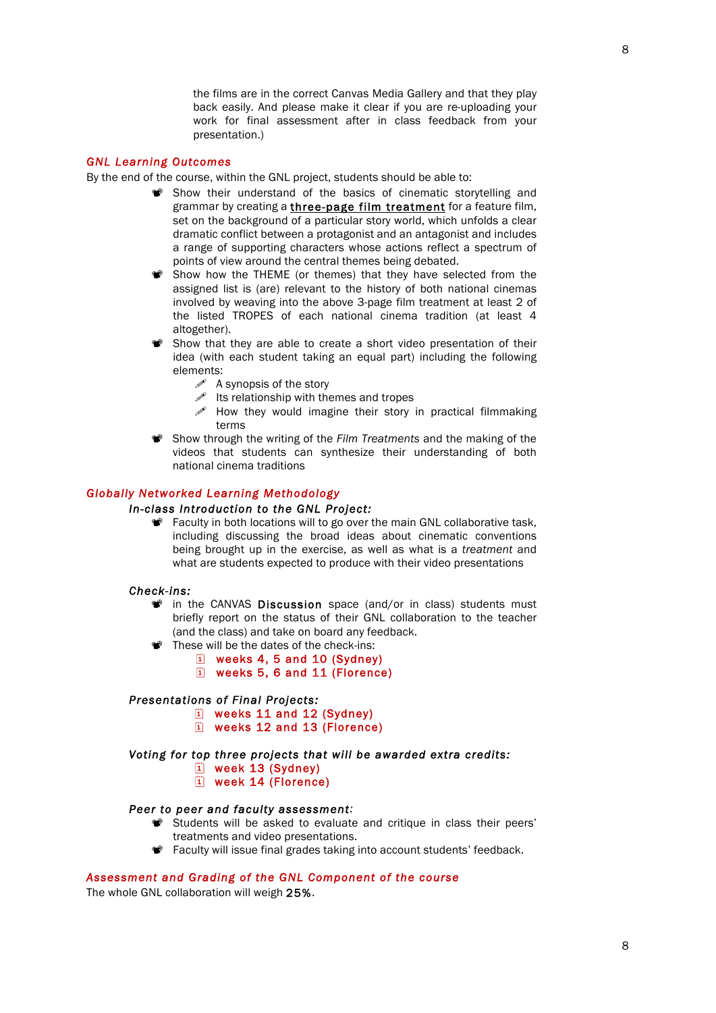the films are in the correct Canvas Media Gallery and that they play back easily. And please make it clear if you are re-uploading your work for final assessment after in class feedback from your presentation.)

### *GNL Learning Outcomes*

By the end of the course, within the GNL project, students should be able to:

- " Show their understand of the basics of cinematic storytelling and grammar by creating a three-page film treatment for a feature film, set on the background of a particular story world, which unfolds a clear dramatic conflict between a protagonist and an antagonist and includes a range of supporting characters whose actions reflect a spectrum of points of view around the central themes being debated.
- Show how the THEME (or themes) that they have selected from the assigned list is (are) relevant to the history of both national cinemas involved by weaving into the above 3-page film treatment at least 2 of the listed TROPES of each national cinema tradition (at least 4 altogether).
- Show that they are able to create a short video presentation of their idea (with each student taking an equal part) including the following elements:
	- $\mathscr{P}$  A synopsis of the story
	- $\mathscr{I}$  Its relationship with themes and tropes
	- $\mathscr S$  How they would imagine their story in practical filmmaking terms
- **<sup>\*</sup>** Show through the writing of the *Film Treatments* and the making of the videos that students can synthesize their understanding of both national cinema traditions

# *Globally Networked Learning Methodology*

# *In-class Introduction to the GNL Project:*

**\*\*** Faculty in both locations will to go over the main GNL collaborative task, including discussing the broad ideas about cinematic conventions being brought up in the exercise, as well as what is a *treatment* and what are students expected to produce with their video presentations

#### *Check-ins:*

- $\bullet$  in the CANVAS **Discussion** space (and/or in class) students must briefly report on the status of their GNL collaboration to the teacher (and the class) and take on board any feedback.
- " These will be the dates of the check-ins:
	- $|1|$  weeks 4, 5 and 10 (Sydney)
	- $\Box$  weeks 5, 6 and 11 (Florence)

### *Presentations of Final Projects:*

- $\Box$  weeks 11 and 12 (Sydney)
- 1 weeks 12 and 13 (Florence)

### *Voting for top three projects that will be awarded extra credits:*

- $\ddot{1}$  week 13 (Sydney)
- $\ddot{1}$  week 14 (Florence)

# *Peer to peer and faculty assessment:*

- " Students will be asked to evaluate and critique in class their peers' treatments and video presentations.
- " Faculty will issue final grades taking into account students' feedback.

## *Assessment and Grading of the GNL Component of the course*

The whole GNL collaboration will weigh 25%.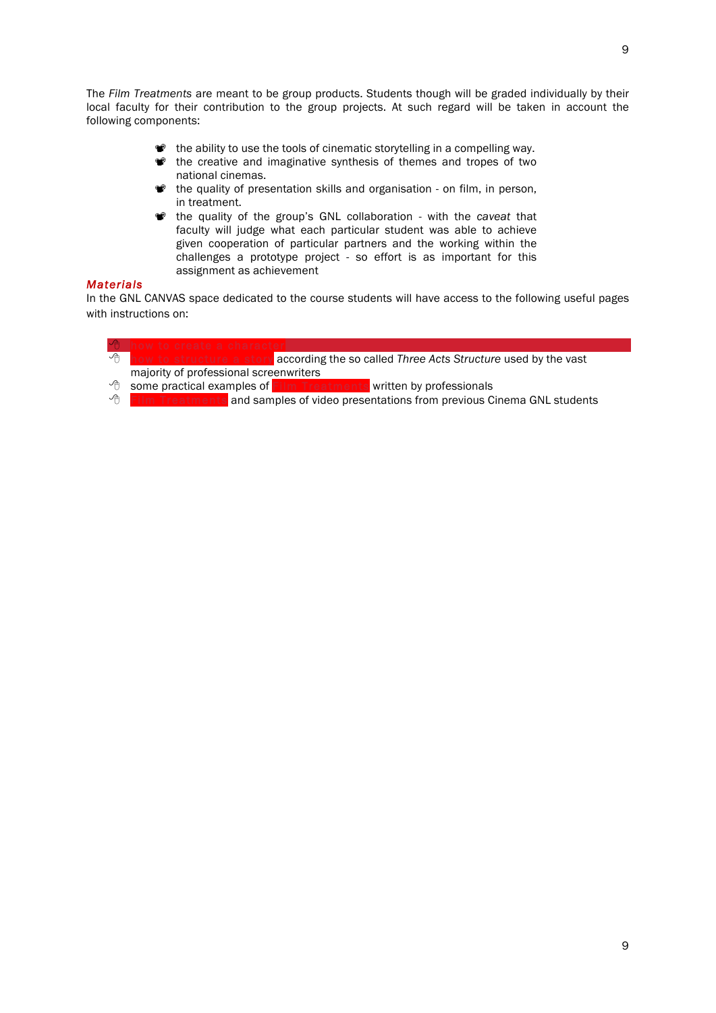The *Film Treatments* are meant to be group products. Students though will be graded individually by their local faculty for their contribution to the group projects. At such regard will be taken in account the following components:

- the ability to use the tools of cinematic storytelling in a compelling way.
- the creative and imaginative synthesis of themes and tropes of two national cinemas.
- the quality of presentation skills and organisation on film, in person, in treatment.
- $\bullet$  the quality of the group's GNL collaboration with the *caveat* that faculty will judge what each particular student was able to achieve given cooperation of particular partners and the working within the challenges a prototype project - so effort is as important for this assignment as achievement

# *Materials*

In the GNL CANVAS space dedicated to the course students will have access to the following useful pages with instructions on:

**6 how to create a character** 8 how to structure a story according the so called *Three Acts Structure* used by the vast majority of professional screenwriters

<sup>8</sup> some practical examples of Film Treatments written by professionals

 $\sqrt{8}$  Film Treatments and samples of video presentations from previous Cinema GNL students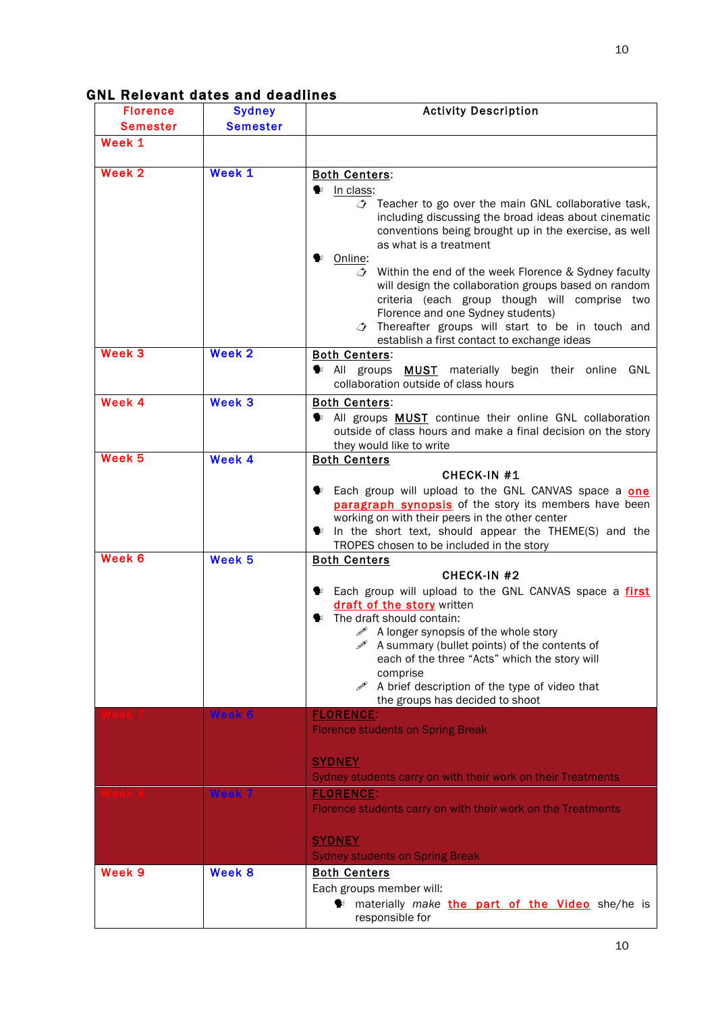| <b>Florence</b>   | <b>Sydney</b>   | <b>Activity Description</b>                                                                                                                                                                                                                                                                                                                                                                                                                                                                                                                                                                                            |
|-------------------|-----------------|------------------------------------------------------------------------------------------------------------------------------------------------------------------------------------------------------------------------------------------------------------------------------------------------------------------------------------------------------------------------------------------------------------------------------------------------------------------------------------------------------------------------------------------------------------------------------------------------------------------------|
| <b>Semester</b>   | <b>Semester</b> |                                                                                                                                                                                                                                                                                                                                                                                                                                                                                                                                                                                                                        |
| Week 1            |                 |                                                                                                                                                                                                                                                                                                                                                                                                                                                                                                                                                                                                                        |
| Week 2            | Week 1          | <b>Both Centers:</b><br>$\bullet$ In class:<br>$\triangle$ Teacher to go over the main GNL collaborative task,<br>including discussing the broad ideas about cinematic<br>conventions being brought up in the exercise, as well<br>as what is a treatment<br><sup>€ Online:</sup><br>Within the end of the week Florence & Sydney faculty<br>$\mathcal{L}$<br>will design the collaboration groups based on random<br>criteria (each group though will comprise two<br>Florence and one Sydney students)<br>$\triangle$ Thereafter groups will start to be in touch and<br>establish a first contact to exchange ideas |
| Week <sub>3</sub> | Week 2          | <b>Both Centers:</b><br>$\blacktriangleright$ All groups<br><b>MUST</b> materially begin their online<br>GNL<br>collaboration outside of class hours                                                                                                                                                                                                                                                                                                                                                                                                                                                                   |
| Week 4            | Week 3          | <b>Both Centers:</b><br>All groups MUST continue their online GNL collaboration<br>outside of class hours and make a final decision on the story<br>they would like to write                                                                                                                                                                                                                                                                                                                                                                                                                                           |
| Week <sub>5</sub> | Week 4          | <b>Both Centers</b><br>CHECK-IN #1<br>Exect Each group will upload to the GNL CANVAS space a one<br>paragraph synopsis of the story its members have been<br>working on with their peers in the other center<br>$\blacktriangleright$ In the short text, should appear the THEME(S) and the<br>TROPES chosen to be included in the story                                                                                                                                                                                                                                                                               |
| Week 6            | Week 5          | <b>Both Centers</b><br><b>CHECK-IN #2</b><br>E Each group will upload to the GNL CANVAS space a first<br>draft of the story written<br><b>E</b> The draft should contain:<br>$\mathscr{P}$ A longer synopsis of the whole story<br>A summary (bullet points) of the contents of<br>each of the three "Acts" which the story will<br>comprise<br>$\mathscr{P}$ A brief description of the type of video that<br>the groups has decided to shoot                                                                                                                                                                         |
|                   | Week 6          | <b>FLORENCE:</b><br><b>Florence students on Spring Break</b><br><b>SYDNEY</b><br>Sydney students carry on with their work on their Treatments                                                                                                                                                                                                                                                                                                                                                                                                                                                                          |
|                   | Week 7          | <b>FLORENCE:</b><br>Florence students carry on with their work on the Treatments<br><b>SYDNEY</b><br><b>Sydney students on Spring Break</b>                                                                                                                                                                                                                                                                                                                                                                                                                                                                            |
| Week 9            | Week 8          | <b>Both Centers</b><br>Each groups member will:<br>materially make the part of the Video she/he is<br>responsible for                                                                                                                                                                                                                                                                                                                                                                                                                                                                                                  |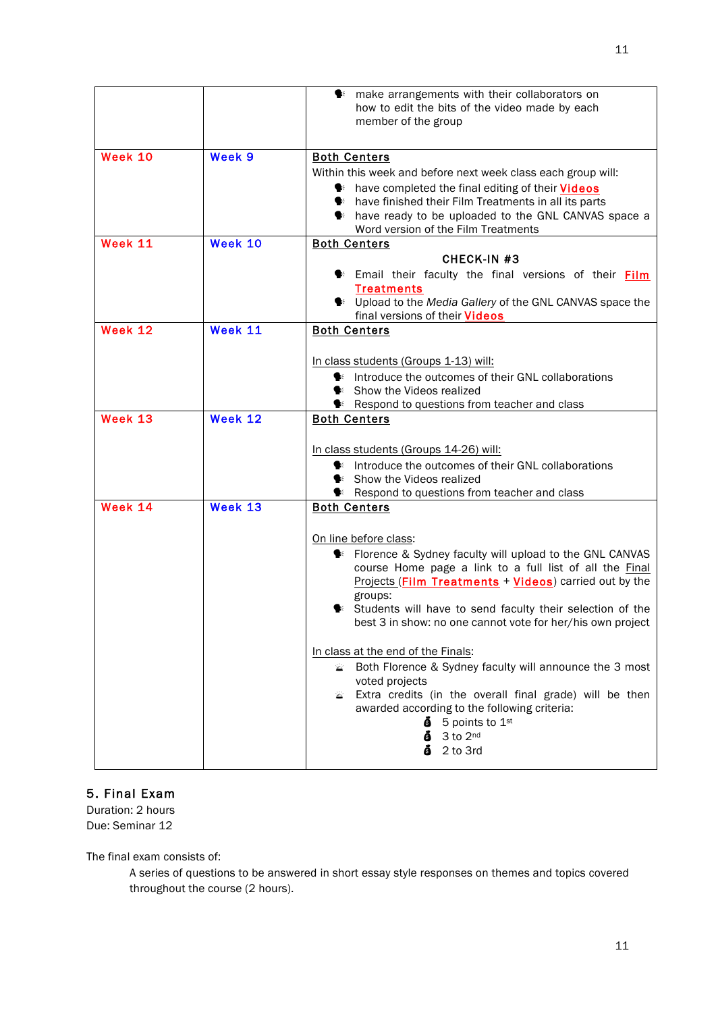|         |         | make arrangements with their collaborators on<br>❤                     |
|---------|---------|------------------------------------------------------------------------|
|         |         | how to edit the bits of the video made by each                         |
|         |         | member of the group                                                    |
|         |         |                                                                        |
| Week 10 | Week 9  | <b>Both Centers</b>                                                    |
|         |         | Within this week and before next week class each group will:           |
|         |         | the state completed the final editing of their <b>Videos</b>           |
|         |         | the have finished their Film Treatments in all its parts               |
|         |         | the section face as the vertex of the GNL CANVAS space a               |
| Week 11 | Week 10 | Word version of the Film Treatments<br><b>Both Centers</b>             |
|         |         | CHECK-IN #3                                                            |
|         |         | <b>Example 18 Email their faculty the final versions of their Film</b> |
|         |         | <b>Treatments</b>                                                      |
|         |         | <sup>●</sup> Upload to the Media Gallery of the GNL CANVAS space the   |
|         |         | final versions of their Videos                                         |
| Week 12 | Week 11 | <b>Both Centers</b>                                                    |
|         |         | In class students (Groups 1-13) will:                                  |
|         |         | Introduce the outcomes of their GNL collaborations                     |
|         |         | Show the Videos realized                                               |
|         |         | <b>● Respond to questions from teacher and class</b>                   |
| Week 13 | Week 12 | <b>Both Centers</b>                                                    |
|         |         | In class students (Groups 14-26) will:                                 |
|         |         | Introduce the outcomes of their GNL collaborations                     |
|         |         | Show the Videos realized                                               |
|         |         | <b>●</b> Respond to questions from teacher and class                   |
| Week 14 | Week 13 | <b>Both Centers</b>                                                    |
|         |         | On line before class:                                                  |
|         |         | <sup>●</sup> Florence & Sydney faculty will upload to the GNL CANVAS   |
|         |         | course Home page a link to a full list of all the Final                |
|         |         | Projects (Film Treatments + Videos) carried out by the                 |
|         |         | groups:                                                                |
|         |         | Students will have to send faculty their selection of the              |
|         |         | best 3 in show: no one cannot vote for her/his own project             |
|         |         | In class at the end of the Finals:                                     |
|         |         | Both Florence & Sydney faculty will announce the 3 most<br>☎           |
|         |         | voted projects                                                         |
|         |         | Extra credits (in the overall final grade) will be then                |
|         |         | awarded according to the following criteria:                           |
|         |         | $\ddot{\bullet}$ 5 points to 1 <sup>st</sup>                           |
|         |         | $\ddot{\bullet}$ 3 to 2 <sup>nd</sup><br>$\ddot{\bullet}$ 2 to 3rd     |
|         |         |                                                                        |

# 5. Final Exam

Duration: 2 hours Due: Seminar 12

The final exam consists of:

A series of questions to be answered in short essay style responses on themes and topics covered throughout the course (2 hours).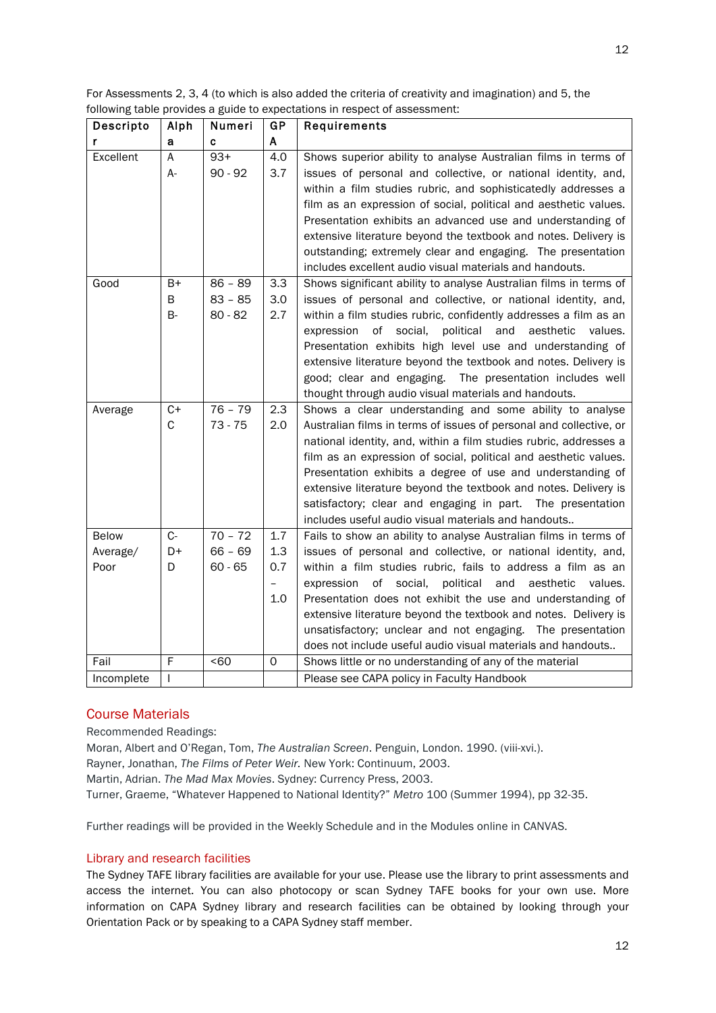| For Assessments 2, 3, 4 (to which is also added the criteria of creativity and imagination) and 5, the |
|--------------------------------------------------------------------------------------------------------|
| following table provides a guide to expectations in respect of assessment:                             |

| Descripto  | Alph      | Numeri    | GP  | Requirements                                                                                                                  |
|------------|-----------|-----------|-----|-------------------------------------------------------------------------------------------------------------------------------|
| r          | а         | C         | A   |                                                                                                                               |
| Excellent  | A         | $93+$     | 4.0 | Shows superior ability to analyse Australian films in terms of                                                                |
|            | A-        | $90 - 92$ | 3.7 | issues of personal and collective, or national identity, and,                                                                 |
|            |           |           |     | within a film studies rubric, and sophisticatedly addresses a                                                                 |
|            |           |           |     | film as an expression of social, political and aesthetic values.                                                              |
|            |           |           |     | Presentation exhibits an advanced use and understanding of                                                                    |
|            |           |           |     | extensive literature beyond the textbook and notes. Delivery is                                                               |
|            |           |           |     | outstanding; extremely clear and engaging. The presentation                                                                   |
|            |           |           |     | includes excellent audio visual materials and handouts.                                                                       |
| Good       | B+        | $86 - 89$ | 3.3 | Shows significant ability to analyse Australian films in terms of                                                             |
|            | B         | $83 - 85$ | 3.0 | issues of personal and collective, or national identity, and,                                                                 |
|            | <b>B-</b> | $80 - 82$ | 2.7 | within a film studies rubric, confidently addresses a film as an                                                              |
|            |           |           |     | of<br>social,<br>political<br>and<br>aesthetic<br>expression<br>values.                                                       |
|            |           |           |     | Presentation exhibits high level use and understanding of                                                                     |
|            |           |           |     | extensive literature beyond the textbook and notes. Delivery is                                                               |
|            |           |           |     | good; clear and engaging. The presentation includes well                                                                      |
|            |           |           |     | thought through audio visual materials and handouts.                                                                          |
| Average    | $C+$      | $76 - 79$ | 2.3 | Shows a clear understanding and some ability to analyse                                                                       |
|            | C         | $73 - 75$ | 2.0 | Australian films in terms of issues of personal and collective, or                                                            |
|            |           |           |     | national identity, and, within a film studies rubric, addresses a                                                             |
|            |           |           |     | film as an expression of social, political and aesthetic values.                                                              |
|            |           |           |     | Presentation exhibits a degree of use and understanding of                                                                    |
|            |           |           |     | extensive literature beyond the textbook and notes. Delivery is                                                               |
|            |           |           |     | satisfactory; clear and engaging in part. The presentation                                                                    |
|            |           |           |     | includes useful audio visual materials and handouts                                                                           |
| Below      | $C-$      | $70 - 72$ | 1.7 | Fails to show an ability to analyse Australian films in terms of                                                              |
| Average/   | D+        | $66 - 69$ | 1.3 | issues of personal and collective, or national identity, and,                                                                 |
| Poor       | D         | $60 - 65$ | 0.7 | within a film studies rubric, fails to address a film as an                                                                   |
|            |           |           |     | of social,<br>political and<br>expression<br>aesthetic<br>values.                                                             |
|            |           |           | 1.0 | Presentation does not exhibit the use and understanding of<br>extensive literature beyond the textbook and notes. Delivery is |
|            |           |           |     | unsatisfactory; unclear and not engaging. The presentation                                                                    |
|            |           |           |     | does not include useful audio visual materials and handouts                                                                   |
| Fail       | F         | < 60      | 0   | Shows little or no understanding of any of the material                                                                       |
| Incomplete | T         |           |     | Please see CAPA policy in Faculty Handbook                                                                                    |
|            |           |           |     |                                                                                                                               |

# Course Materials

Recommended Readings:

Moran, Albert and O'Regan, Tom, *The Australian Screen*. Penguin, London. 1990. (viii-xvi.).

Rayner, Jonathan, *The Films of Peter Weir.* New York: Continuum, 2003.

Martin, Adrian. *The Mad Max Movies*. Sydney: Currency Press, 2003.

Turner, Graeme, "Whatever Happened to National Identity?" *Metro* 100 (Summer 1994), pp 32-35.

Further readings will be provided in the Weekly Schedule and in the Modules online in CANVAS.

# Library and research facilities

The Sydney TAFE library facilities are available for your use. Please use the library to print assessments and access the internet. You can also photocopy or scan Sydney TAFE books for your own use. More information on CAPA Sydney library and research facilities can be obtained by looking through your Orientation Pack or by speaking to a CAPA Sydney staff member.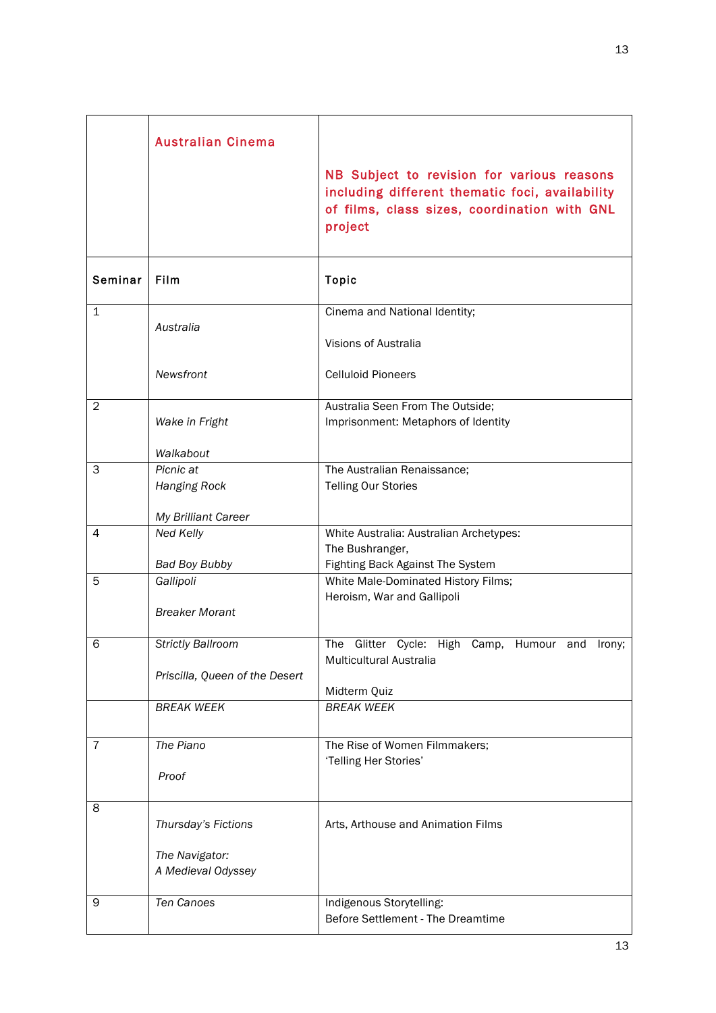|                | <b>Australian Cinema</b>                                                        | NB Subject to revision for various reasons<br>including different thematic foci, availability<br>of films, class sizes, coordination with GNL<br>project |
|----------------|---------------------------------------------------------------------------------|----------------------------------------------------------------------------------------------------------------------------------------------------------|
| Seminar        | Film                                                                            | <b>Topic</b>                                                                                                                                             |
| $\mathbf{1}$   | Australia                                                                       | Cinema and National Identity;<br>Visions of Australia                                                                                                    |
|                | Newsfront                                                                       | <b>Celluloid Pioneers</b>                                                                                                                                |
| $\overline{2}$ | Wake in Fright<br>Walkabout                                                     | Australia Seen From The Outside;<br>Imprisonment: Metaphors of Identity                                                                                  |
| 3              | Picnic at<br><b>Hanging Rock</b><br>My Brilliant Career                         | The Australian Renaissance;<br><b>Telling Our Stories</b>                                                                                                |
| 4              | Ned Kelly<br><b>Bad Boy Bubby</b>                                               | White Australia: Australian Archetypes:<br>The Bushranger,<br>Fighting Back Against The System                                                           |
| 5              | Gallipoli<br><b>Breaker Morant</b>                                              | White Male-Dominated History Films;<br>Heroism, War and Gallipoli                                                                                        |
| 6              | <b>Strictly Ballroom</b><br>Priscilla, Queen of the Desert<br><b>BREAK WEEK</b> | Glitter<br>The<br>Cycle:<br>High<br>Humour and<br>Camp,<br>lrony;<br>Multicultural Australia<br>Midterm Quiz<br><b>BREAK WEEK</b>                        |
| $\overline{7}$ | The Piano<br>Proof                                                              | The Rise of Women Filmmakers;<br>'Telling Her Stories'                                                                                                   |
| 8              | Thursday's Fictions<br>The Navigator:<br>A Medieval Odyssey                     | Arts, Arthouse and Animation Films                                                                                                                       |
| 9              | Ten Canoes                                                                      | Indigenous Storytelling:<br>Before Settlement - The Dreamtime                                                                                            |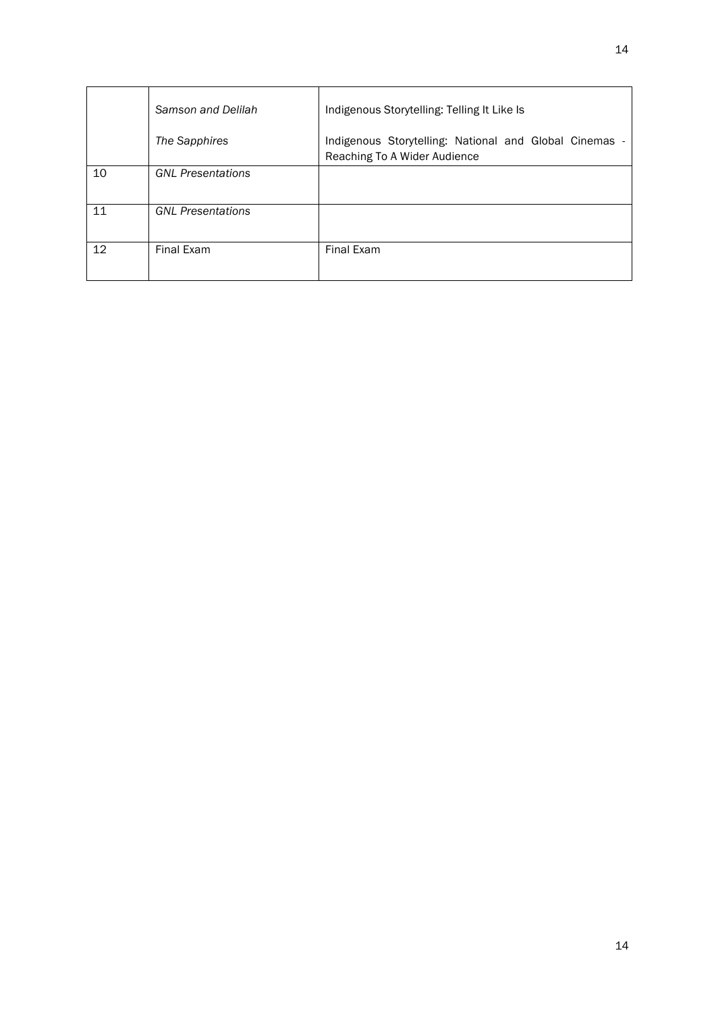|    | Samson and Delilah       | Indigenous Storytelling: Telling It Like Is                                            |
|----|--------------------------|----------------------------------------------------------------------------------------|
|    | The Sapphires            | Indigenous Storytelling: National and Global Cinemas -<br>Reaching To A Wider Audience |
| 10 | <b>GNL Presentations</b> |                                                                                        |
| 11 | <b>GNL Presentations</b> |                                                                                        |
| 12 | Final Exam               | Final Exam                                                                             |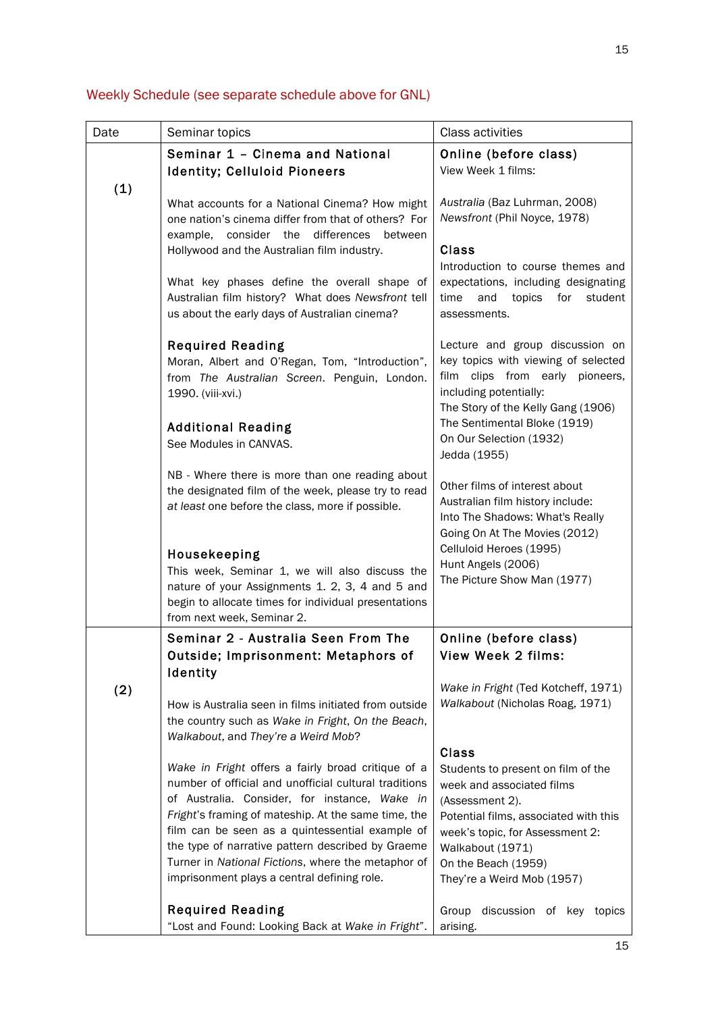| Date | Seminar topics                                                                                                                                                                                                                                                                                                                                                                                                                   | <b>Class activities</b>                                                                                                                                                                                                                                 |
|------|----------------------------------------------------------------------------------------------------------------------------------------------------------------------------------------------------------------------------------------------------------------------------------------------------------------------------------------------------------------------------------------------------------------------------------|---------------------------------------------------------------------------------------------------------------------------------------------------------------------------------------------------------------------------------------------------------|
|      | Seminar 1 - Cinema and National<br><b>Identity; Celluloid Pioneers</b>                                                                                                                                                                                                                                                                                                                                                           | Online (before class)<br>View Week 1 films:                                                                                                                                                                                                             |
| (1)  | What accounts for a National Cinema? How might<br>one nation's cinema differ from that of others? For<br>example,<br>consider the<br>differences<br>between<br>Hollywood and the Australian film industry.                                                                                                                                                                                                                       | Australia (Baz Luhrman, 2008)<br>Newsfront (Phil Noyce, 1978)<br><b>Class</b><br>Introduction to course themes and                                                                                                                                      |
|      | What key phases define the overall shape of<br>Australian film history? What does Newsfront tell<br>us about the early days of Australian cinema?                                                                                                                                                                                                                                                                                | expectations, including designating<br>time<br>topics<br>for<br>student<br>and<br>assessments.                                                                                                                                                          |
|      | <b>Required Reading</b><br>Moran, Albert and O'Regan, Tom, "Introduction",<br>from The Australian Screen. Penguin, London.<br>1990. (viii-xvi.)<br><b>Additional Reading</b><br>See Modules in CANVAS.                                                                                                                                                                                                                           | Lecture and group discussion on<br>key topics with viewing of selected<br>film clips from early pioneers,<br>including potentially:<br>The Story of the Kelly Gang (1906)<br>The Sentimental Bloke (1919)<br>On Our Selection (1932)<br>Jedda (1955)    |
|      | NB - Where there is more than one reading about<br>the designated film of the week, please try to read<br>at least one before the class, more if possible.<br>Housekeeping<br>This week, Seminar 1, we will also discuss the<br>nature of your Assignments 1. 2, 3, 4 and 5 and<br>begin to allocate times for individual presentations                                                                                          | Other films of interest about<br>Australian film history include:<br>Into The Shadows: What's Really<br>Going On At The Movies (2012)<br>Celluloid Heroes (1995)<br>Hunt Angels (2006)<br>The Picture Show Man (1977)                                   |
|      | from next week, Seminar 2.<br>Seminar 2 - Australia Seen From The<br>Outside; Imprisonment: Metaphors of                                                                                                                                                                                                                                                                                                                         | Online (before class)<br>View Week 2 films:                                                                                                                                                                                                             |
| (2)  | Identity<br>How is Australia seen in films initiated from outside<br>the country such as Wake in Fright, On the Beach,<br>Walkabout, and They're a Weird Mob?                                                                                                                                                                                                                                                                    | Wake in Fright (Ted Kotcheff, 1971)<br>Walkabout (Nicholas Roag, 1971)                                                                                                                                                                                  |
|      | Wake in Fright offers a fairly broad critique of a<br>number of official and unofficial cultural traditions<br>of Australia. Consider, for instance, Wake in<br>Fright's framing of mateship. At the same time, the<br>film can be seen as a quintessential example of<br>the type of narrative pattern described by Graeme<br>Turner in National Fictions, where the metaphor of<br>imprisonment plays a central defining role. | <b>Class</b><br>Students to present on film of the<br>week and associated films<br>(Assessment 2).<br>Potential films, associated with this<br>week's topic, for Assessment 2:<br>Walkabout (1971)<br>On the Beach (1959)<br>They're a Weird Mob (1957) |
|      | <b>Required Reading</b><br>"Lost and Found: Looking Back at Wake in Fright".                                                                                                                                                                                                                                                                                                                                                     | Group discussion of key topics<br>arising.                                                                                                                                                                                                              |

# Weekly Schedule (see separate schedule above for GNL)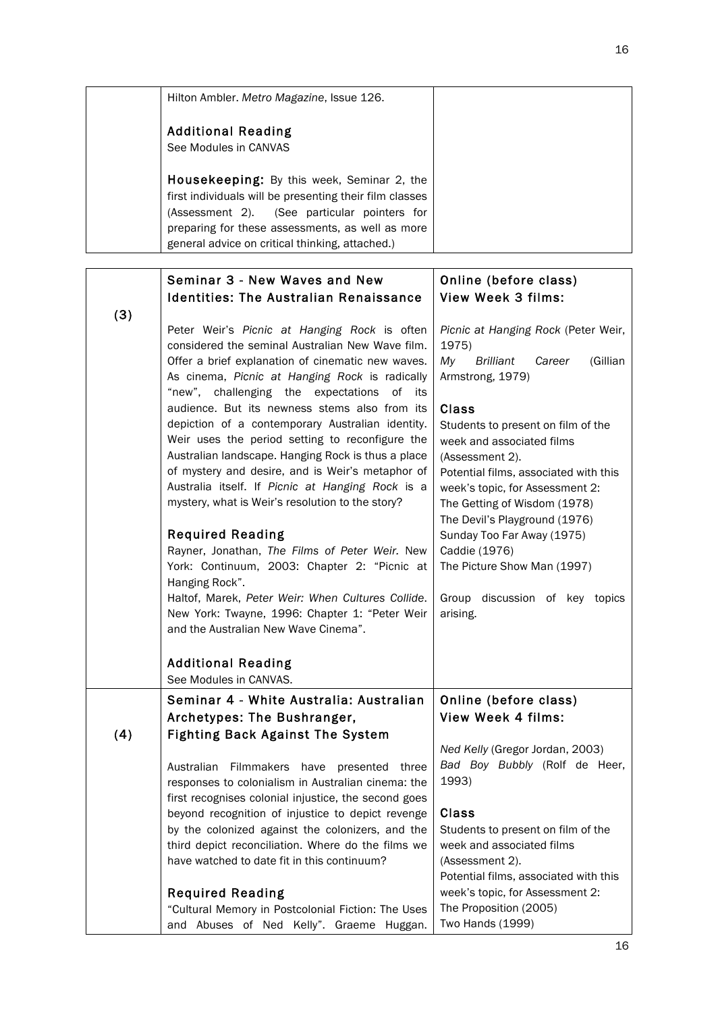| Hilton Ambler. Metro Magazine, Issue 126.               |  |
|---------------------------------------------------------|--|
| <b>Additional Reading</b>                               |  |
| See Modules in CANVAS                                   |  |
| <b>Housekeeping:</b> By this week, Seminar 2, the       |  |
| first individuals will be presenting their film classes |  |
| (Assessment 2). (See particular pointers for            |  |
| preparing for these assessments, as well as more        |  |
| general advice on critical thinking, attached.)         |  |

|     | Seminar 3 - New Waves and New<br><b>Identities: The Australian Renaissance</b>                                                                                                                                                                                                                                                                                                                                                                     | Online (before class)<br><b>View Week 3 films:</b>                                                                                                                                                                                                                            |
|-----|----------------------------------------------------------------------------------------------------------------------------------------------------------------------------------------------------------------------------------------------------------------------------------------------------------------------------------------------------------------------------------------------------------------------------------------------------|-------------------------------------------------------------------------------------------------------------------------------------------------------------------------------------------------------------------------------------------------------------------------------|
| (3) |                                                                                                                                                                                                                                                                                                                                                                                                                                                    |                                                                                                                                                                                                                                                                               |
|     | Peter Weir's Picnic at Hanging Rock is often<br>considered the seminal Australian New Wave film.<br>Offer a brief explanation of cinematic new waves.<br>As cinema, Picnic at Hanging Rock is radically                                                                                                                                                                                                                                            | Picnic at Hanging Rock (Peter Weir,<br>1975)<br>(Gillian<br>My<br><b>Brilliant</b><br>Career<br>Armstrong, 1979)                                                                                                                                                              |
|     | "new", challenging the expectations<br>of its<br>audience. But its newness stems also from its<br>depiction of a contemporary Australian identity.<br>Weir uses the period setting to reconfigure the<br>Australian landscape. Hanging Rock is thus a place<br>of mystery and desire, and is Weir's metaphor of<br>Australia itself. If Picnic at Hanging Rock is a<br>mystery, what is Weir's resolution to the story?<br><b>Required Reading</b> | <b>Class</b><br>Students to present on film of the<br>week and associated films<br>(Assessment 2).<br>Potential films, associated with this<br>week's topic, for Assessment 2:<br>The Getting of Wisdom (1978)<br>The Devil's Playground (1976)<br>Sunday Too Far Away (1975) |
|     | Rayner, Jonathan, The Films of Peter Weir. New<br>York: Continuum, 2003: Chapter 2: "Picnic at<br>Hanging Rock".<br>Haltof, Marek, Peter Weir: When Cultures Collide.<br>New York: Twayne, 1996: Chapter 1: "Peter Weir<br>and the Australian New Wave Cinema".<br><b>Additional Reading</b>                                                                                                                                                       | Caddie (1976)<br>The Picture Show Man (1997)<br>Group discussion of key topics<br>arising.                                                                                                                                                                                    |
|     | See Modules in CANVAS.                                                                                                                                                                                                                                                                                                                                                                                                                             |                                                                                                                                                                                                                                                                               |
|     | Seminar 4 - White Australia: Australian<br>Archetypes: The Bushranger,                                                                                                                                                                                                                                                                                                                                                                             | Online (before class)<br><b>View Week 4 films:</b>                                                                                                                                                                                                                            |
| (4) | <b>Fighting Back Against The System</b><br>Australian Filmmakers have presented three<br>responses to colonialism in Australian cinema: the<br>first recognises colonial injustice, the second goes<br>beyond recognition of injustice to depict revenge<br>by the colonized against the colonizers, and the<br>third depict reconciliation. Where do the films we                                                                                 | Ned Kelly (Gregor Jordan, 2003)<br>Bad Boy Bubbly (Rolf de Heer,<br>1993)<br>Class<br>Students to present on film of the<br>week and associated films                                                                                                                         |
|     | have watched to date fit in this continuum?<br><b>Required Reading</b><br>"Cultural Memory in Postcolonial Fiction: The Uses                                                                                                                                                                                                                                                                                                                       | (Assessment 2).<br>Potential films, associated with this<br>week's topic, for Assessment 2:<br>The Proposition (2005)                                                                                                                                                         |
|     | and Abuses of Ned Kelly". Graeme<br>Huggan.                                                                                                                                                                                                                                                                                                                                                                                                        | Two Hands (1999)                                                                                                                                                                                                                                                              |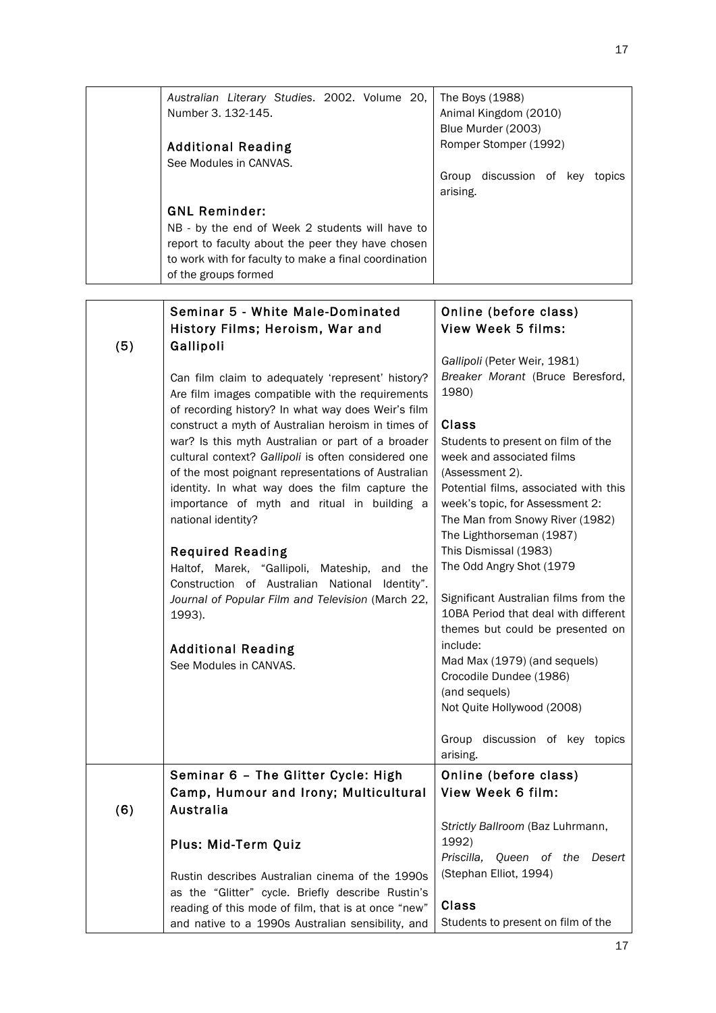|     | Australian Literary Studies. 2002. Volume 20,<br>Number 3. 132-145.<br><b>Additional Reading</b>                                                                                                                                                                                                                                                                                                   | The Boys (1988)<br>Animal Kingdom (2010)<br>Blue Murder (2003)<br>Romper Stomper (1992)                                                                                                                                                       |
|-----|----------------------------------------------------------------------------------------------------------------------------------------------------------------------------------------------------------------------------------------------------------------------------------------------------------------------------------------------------------------------------------------------------|-----------------------------------------------------------------------------------------------------------------------------------------------------------------------------------------------------------------------------------------------|
|     | See Modules in CANVAS.                                                                                                                                                                                                                                                                                                                                                                             | Group discussion of key topics<br>arising.                                                                                                                                                                                                    |
|     | <b>GNL Reminder:</b>                                                                                                                                                                                                                                                                                                                                                                               |                                                                                                                                                                                                                                               |
|     | NB - by the end of Week 2 students will have to<br>report to faculty about the peer they have chosen<br>to work with for faculty to make a final coordination<br>of the groups formed                                                                                                                                                                                                              |                                                                                                                                                                                                                                               |
|     |                                                                                                                                                                                                                                                                                                                                                                                                    |                                                                                                                                                                                                                                               |
| (5) | Seminar 5 - White Male-Dominated<br>History Films; Heroism, War and<br>Gallipoli                                                                                                                                                                                                                                                                                                                   | Online (before class)<br><b>View Week 5 films:</b>                                                                                                                                                                                            |
|     | Can film claim to adequately 'represent' history?<br>Are film images compatible with the requirements                                                                                                                                                                                                                                                                                              | Gallipoli (Peter Weir, 1981)<br>Breaker Morant (Bruce Beresford,<br>1980)                                                                                                                                                                     |
|     | of recording history? In what way does Weir's film<br>construct a myth of Australian heroism in times of<br>war? Is this myth Australian or part of a broader<br>cultural context? Gallipoli is often considered one<br>of the most poignant representations of Australian<br>identity. In what way does the film capture the<br>importance of myth and ritual in building a<br>national identity? | <b>Class</b><br>Students to present on film of the<br>week and associated films<br>(Assessment 2).<br>Potential films, associated with this<br>week's topic, for Assessment 2:<br>The Man from Snowy River (1982)<br>The Lighthorseman (1987) |
|     | <b>Required Reading</b><br>Haltof, Marek, "Gallipoli, Mateship,<br>and the<br>Construction of Australian National<br>Identity".                                                                                                                                                                                                                                                                    | This Dismissal (1983)<br>The Odd Angry Shot (1979                                                                                                                                                                                             |
|     | Journal of Popular Film and Television (March 22,<br>1993).                                                                                                                                                                                                                                                                                                                                        | Significant Australian films from the<br>10BA Period that deal with different<br>themes but could be presented on                                                                                                                             |
|     | <b>Additional Reading</b><br>See Modules in CANVAS.                                                                                                                                                                                                                                                                                                                                                | include:<br>Mad Max (1979) (and sequels)<br>Crocodile Dundee (1986)<br>(and sequels)<br>Not Quite Hollywood (2008)                                                                                                                            |
|     |                                                                                                                                                                                                                                                                                                                                                                                                    | Group discussion of key topics<br>arising.                                                                                                                                                                                                    |
| (6) | Seminar 6 - The Glitter Cycle: High<br>Camp, Humour and Irony; Multicultural<br>Australia                                                                                                                                                                                                                                                                                                          | Online (before class)<br>View Week 6 film:                                                                                                                                                                                                    |
|     | Plus: Mid-Term Quiz                                                                                                                                                                                                                                                                                                                                                                                | Strictly Ballroom (Baz Luhrmann,<br>1992)<br>Priscilla,<br>Queen of the<br>Desert                                                                                                                                                             |
|     | Rustin describes Australian cinema of the 1990s<br>as the "Glitter" cycle. Briefly describe Rustin's<br>reading of this mode of film, that is at once "new"<br>and native to a 1990s Australian sensibility, and                                                                                                                                                                                   | (Stephan Elliot, 1994)<br>Class<br>Students to present on film of the                                                                                                                                                                         |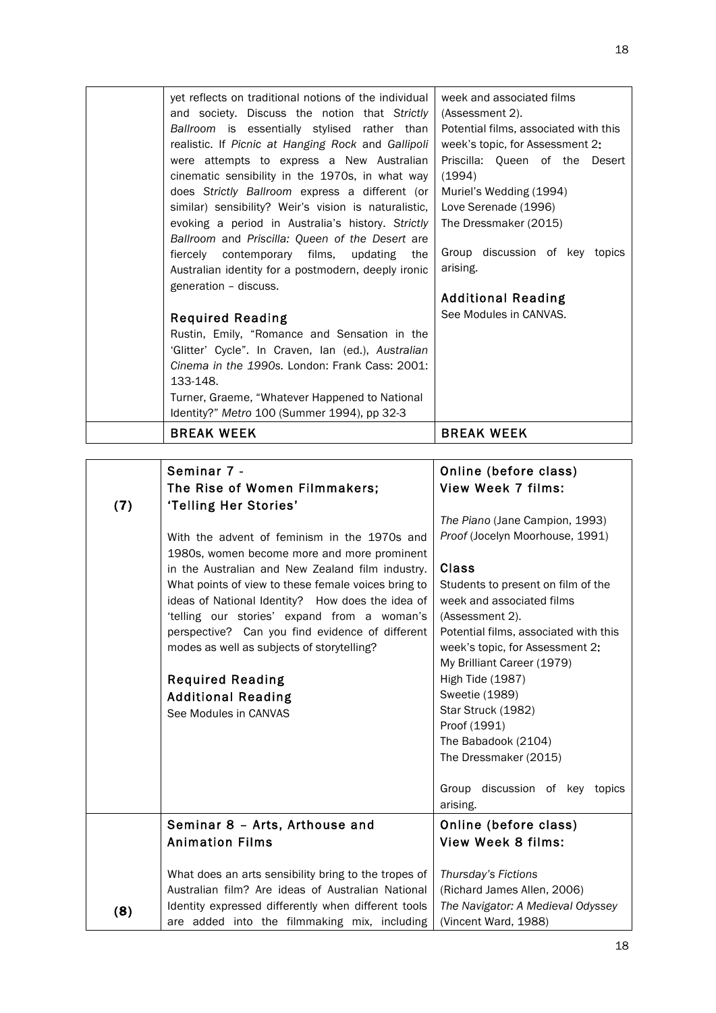| (7) | Seminar 7 -<br>The Rise of Women Filmmakers;<br>'Telling Her Stories'<br>With the advent of feminism in the 1970s and<br>1980s, women become more and more prominent<br>in the Australian and New Zealand film industry.<br>What points of view to these female voices bring to<br>ideas of National Identity? How does the idea of<br>'telling our stories' expand from a woman's<br>perspective? Can you find evidence of different<br>modes as well as subjects of storytelling?<br><b>Required Reading</b><br><b>Additional Reading</b> | Online (before class)<br>View Week 7 films:<br>The Piano (Jane Campion, 1993)<br>Proof (Jocelyn Moorhouse, 1991)<br>Class<br>Students to present on film of the<br>week and associated films<br>(Assessment 2).<br>Potential films, associated with this<br>week's topic, for Assessment 2:<br>My Brilliant Career (1979)<br><b>High Tide (1987)</b><br>Sweetie (1989) |
|-----|---------------------------------------------------------------------------------------------------------------------------------------------------------------------------------------------------------------------------------------------------------------------------------------------------------------------------------------------------------------------------------------------------------------------------------------------------------------------------------------------------------------------------------------------|------------------------------------------------------------------------------------------------------------------------------------------------------------------------------------------------------------------------------------------------------------------------------------------------------------------------------------------------------------------------|
|     | See Modules in CANVAS                                                                                                                                                                                                                                                                                                                                                                                                                                                                                                                       | Star Struck (1982)<br>Proof (1991)<br>The Babadook (2104)<br>The Dressmaker (2015)<br>Group discussion of key topics<br>arising.                                                                                                                                                                                                                                       |
| (8) | Seminar 8 - Arts, Arthouse and<br><b>Animation Films</b><br>What does an arts sensibility bring to the tropes of<br>Australian film? Are ideas of Australian National<br>Identity expressed differently when different tools<br>are added into the filmmaking mix, including                                                                                                                                                                                                                                                                | Online (before class)<br><b>View Week 8 films:</b><br>Thursday's Fictions<br>(Richard James Allen, 2006)<br>The Navigator: A Medieval Odyssey<br>(Vincent Ward, 1988)                                                                                                                                                                                                  |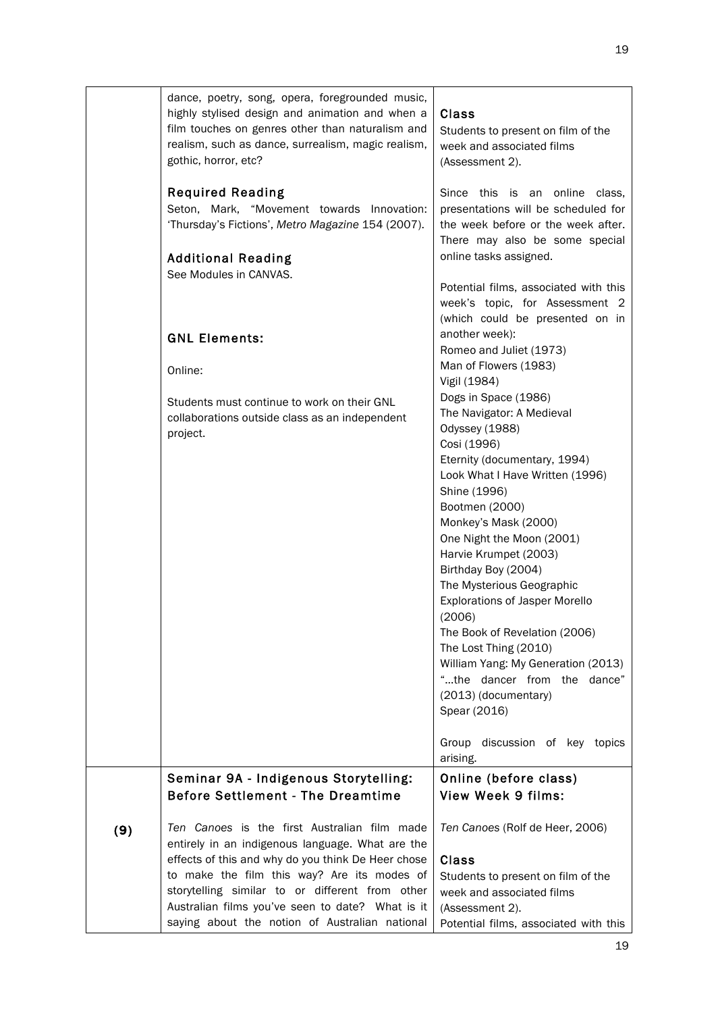|     | dance, poetry, song, opera, foregrounded music,<br>highly stylised design and animation and when a<br>film touches on genres other than naturalism and<br>realism, such as dance, surrealism, magic realism,<br>gothic, horror, etc?                                                                                                                           | <b>Class</b><br>Students to present on film of the<br>week and associated films<br>(Assessment 2).                                                                                                                                                                                                                                                                                                                                                                                                                                                                  |
|-----|----------------------------------------------------------------------------------------------------------------------------------------------------------------------------------------------------------------------------------------------------------------------------------------------------------------------------------------------------------------|---------------------------------------------------------------------------------------------------------------------------------------------------------------------------------------------------------------------------------------------------------------------------------------------------------------------------------------------------------------------------------------------------------------------------------------------------------------------------------------------------------------------------------------------------------------------|
|     | <b>Required Reading</b><br>Seton, Mark, "Movement towards Innovation:<br>'Thursday's Fictions', Metro Magazine 154 (2007).                                                                                                                                                                                                                                     | Since this is an online class,<br>presentations will be scheduled for<br>the week before or the week after.<br>There may also be some special<br>online tasks assigned.                                                                                                                                                                                                                                                                                                                                                                                             |
|     | <b>Additional Reading</b><br>See Modules in CANVAS.                                                                                                                                                                                                                                                                                                            | Potential films, associated with this<br>week's topic, for Assessment 2<br>(which could be presented on in                                                                                                                                                                                                                                                                                                                                                                                                                                                          |
|     | <b>GNL Elements:</b><br>Online:                                                                                                                                                                                                                                                                                                                                | another week):<br>Romeo and Juliet (1973)<br>Man of Flowers (1983)                                                                                                                                                                                                                                                                                                                                                                                                                                                                                                  |
|     | Students must continue to work on their GNL<br>collaborations outside class as an independent<br>project.                                                                                                                                                                                                                                                      | Vigil (1984)<br>Dogs in Space (1986)<br>The Navigator: A Medieval<br>Odyssey (1988)<br>Cosi (1996)<br>Eternity (documentary, 1994)<br>Look What I Have Written (1996)<br>Shine (1996)<br>Bootmen (2000)<br>Monkey's Mask (2000)<br>One Night the Moon (2001)<br>Harvie Krumpet (2003)<br>Birthday Boy (2004)<br>The Mysterious Geographic<br><b>Explorations of Jasper Morello</b><br>(2006)<br>The Book of Revelation (2006)<br>The Lost Thing (2010)<br>William Yang: My Generation (2013)<br>"the dancer from the dance"<br>(2013) (documentary)<br>Spear (2016) |
|     |                                                                                                                                                                                                                                                                                                                                                                | Group discussion of key topics<br>arising.                                                                                                                                                                                                                                                                                                                                                                                                                                                                                                                          |
|     | Seminar 9A - Indigenous Storytelling:<br><b>Before Settlement - The Dreamtime</b>                                                                                                                                                                                                                                                                              | Online (before class)<br><b>View Week 9 films:</b>                                                                                                                                                                                                                                                                                                                                                                                                                                                                                                                  |
| (9) | Ten Canoes is the first Australian film made<br>entirely in an indigenous language. What are the<br>effects of this and why do you think De Heer chose<br>to make the film this way? Are its modes of<br>storytelling similar to or different from other<br>Australian films you've seen to date? What is it<br>saying about the notion of Australian national | Ten Canoes (Rolf de Heer, 2006)<br><b>Class</b><br>Students to present on film of the<br>week and associated films<br>(Assessment 2).<br>Potential films, associated with this                                                                                                                                                                                                                                                                                                                                                                                      |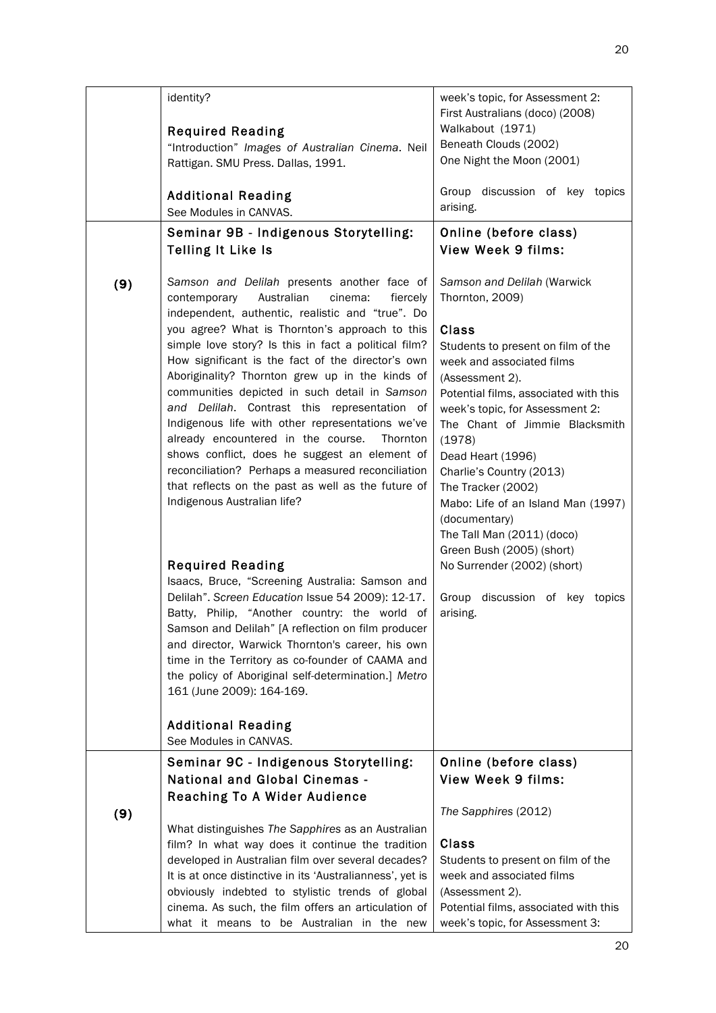|     | identity?<br><b>Required Reading</b><br>"Introduction" Images of Australian Cinema. Neil<br>Rattigan. SMU Press. Dallas, 1991.<br><b>Additional Reading</b><br>See Modules in CANVAS.<br>Seminar 9B - Indigenous Storytelling:<br><b>Telling It Like Is</b>                                                                                                                                                                                                                                                                                                                                                                                                                                                                                                                                                                                                                                                                                                                                                                                                                                                                                                                                                                                                           | week's topic, for Assessment 2:<br>First Australians (doco) (2008)<br>Walkabout (1971)<br>Beneath Clouds (2002)<br>One Night the Moon (2001)<br>Group discussion of key topics<br>arising.<br>Online (before class)<br><b>View Week 9 films:</b>                                                                                                                                                                                                                                                                                                   |
|-----|-----------------------------------------------------------------------------------------------------------------------------------------------------------------------------------------------------------------------------------------------------------------------------------------------------------------------------------------------------------------------------------------------------------------------------------------------------------------------------------------------------------------------------------------------------------------------------------------------------------------------------------------------------------------------------------------------------------------------------------------------------------------------------------------------------------------------------------------------------------------------------------------------------------------------------------------------------------------------------------------------------------------------------------------------------------------------------------------------------------------------------------------------------------------------------------------------------------------------------------------------------------------------|----------------------------------------------------------------------------------------------------------------------------------------------------------------------------------------------------------------------------------------------------------------------------------------------------------------------------------------------------------------------------------------------------------------------------------------------------------------------------------------------------------------------------------------------------|
| (9) | Samson and Delilah presents another face of<br>Australian<br>cinema:<br>contemporary<br>fiercely<br>independent, authentic, realistic and "true". Do<br>you agree? What is Thornton's approach to this<br>simple love story? Is this in fact a political film?<br>How significant is the fact of the director's own<br>Aboriginality? Thornton grew up in the kinds of<br>communities depicted in such detail in Samson<br>and Delilah. Contrast this representation of<br>Indigenous life with other representations we've<br>already encountered in the course.<br>Thornton<br>shows conflict, does he suggest an element of<br>reconciliation? Perhaps a measured reconciliation<br>that reflects on the past as well as the future of<br>Indigenous Australian life?<br><b>Required Reading</b><br>Isaacs, Bruce, "Screening Australia: Samson and<br>Delilah". Screen Education Issue 54 2009): 12-17.<br>Batty, Philip, "Another country: the world of<br>Samson and Delilah" [A reflection on film producer<br>and director, Warwick Thornton's career, his own<br>time in the Territory as co-founder of CAAMA and<br>the policy of Aboriginal self-determination.] Metro<br>161 (June 2009): 164-169.<br><b>Additional Reading</b><br>See Modules in CANVAS. | Samson and Delilah (Warwick<br>Thornton, 2009)<br><b>Class</b><br>Students to present on film of the<br>week and associated films<br>(Assessment 2).<br>Potential films, associated with this<br>week's topic, for Assessment 2:<br>The Chant of Jimmie Blacksmith<br>(1978)<br>Dead Heart (1996)<br>Charlie's Country (2013)<br>The Tracker (2002)<br>Mabo: Life of an Island Man (1997)<br>(documentary)<br>The Tall Man (2011) (doco)<br>Green Bush (2005) (short)<br>No Surrender (2002) (short)<br>Group discussion of key topics<br>arising. |
|     | Seminar 9C - Indigenous Storytelling:                                                                                                                                                                                                                                                                                                                                                                                                                                                                                                                                                                                                                                                                                                                                                                                                                                                                                                                                                                                                                                                                                                                                                                                                                                 | Online (before class)                                                                                                                                                                                                                                                                                                                                                                                                                                                                                                                              |
|     | <b>National and Global Cinemas -</b><br>Reaching To A Wider Audience                                                                                                                                                                                                                                                                                                                                                                                                                                                                                                                                                                                                                                                                                                                                                                                                                                                                                                                                                                                                                                                                                                                                                                                                  | <b>View Week 9 films:</b>                                                                                                                                                                                                                                                                                                                                                                                                                                                                                                                          |
| (9) |                                                                                                                                                                                                                                                                                                                                                                                                                                                                                                                                                                                                                                                                                                                                                                                                                                                                                                                                                                                                                                                                                                                                                                                                                                                                       | The Sapphires (2012)                                                                                                                                                                                                                                                                                                                                                                                                                                                                                                                               |
|     | What distinguishes The Sapphires as an Australian                                                                                                                                                                                                                                                                                                                                                                                                                                                                                                                                                                                                                                                                                                                                                                                                                                                                                                                                                                                                                                                                                                                                                                                                                     |                                                                                                                                                                                                                                                                                                                                                                                                                                                                                                                                                    |
|     | film? In what way does it continue the tradition                                                                                                                                                                                                                                                                                                                                                                                                                                                                                                                                                                                                                                                                                                                                                                                                                                                                                                                                                                                                                                                                                                                                                                                                                      | <b>Class</b>                                                                                                                                                                                                                                                                                                                                                                                                                                                                                                                                       |
|     | developed in Australian film over several decades?                                                                                                                                                                                                                                                                                                                                                                                                                                                                                                                                                                                                                                                                                                                                                                                                                                                                                                                                                                                                                                                                                                                                                                                                                    | Students to present on film of the                                                                                                                                                                                                                                                                                                                                                                                                                                                                                                                 |
|     | It is at once distinctive in its 'Australianness', yet is                                                                                                                                                                                                                                                                                                                                                                                                                                                                                                                                                                                                                                                                                                                                                                                                                                                                                                                                                                                                                                                                                                                                                                                                             | week and associated films                                                                                                                                                                                                                                                                                                                                                                                                                                                                                                                          |
|     | obviously indebted to stylistic trends of global                                                                                                                                                                                                                                                                                                                                                                                                                                                                                                                                                                                                                                                                                                                                                                                                                                                                                                                                                                                                                                                                                                                                                                                                                      | (Assessment 2).                                                                                                                                                                                                                                                                                                                                                                                                                                                                                                                                    |
|     | cinema. As such, the film offers an articulation of                                                                                                                                                                                                                                                                                                                                                                                                                                                                                                                                                                                                                                                                                                                                                                                                                                                                                                                                                                                                                                                                                                                                                                                                                   | Potential films, associated with this                                                                                                                                                                                                                                                                                                                                                                                                                                                                                                              |
|     | what it means to be Australian in the new                                                                                                                                                                                                                                                                                                                                                                                                                                                                                                                                                                                                                                                                                                                                                                                                                                                                                                                                                                                                                                                                                                                                                                                                                             | week's topic, for Assessment 3:                                                                                                                                                                                                                                                                                                                                                                                                                                                                                                                    |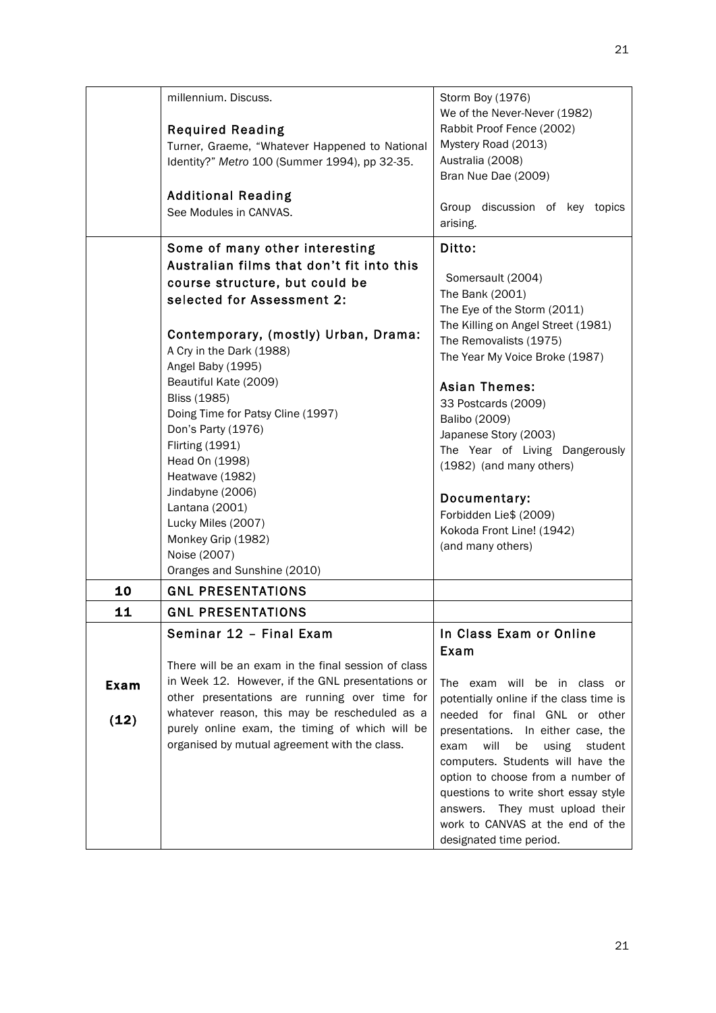|      | millennium. Discuss.                                | Storm Boy (1976)                                          |
|------|-----------------------------------------------------|-----------------------------------------------------------|
|      | <b>Required Reading</b>                             | We of the Never-Never (1982)<br>Rabbit Proof Fence (2002) |
|      | Turner, Graeme, "Whatever Happened to National      | Mystery Road (2013)                                       |
|      | Identity?" Metro 100 (Summer 1994), pp 32-35.       | Australia (2008)                                          |
|      |                                                     | Bran Nue Dae (2009)                                       |
|      | <b>Additional Reading</b>                           |                                                           |
|      | See Modules in CANVAS.                              | Group discussion of key topics                            |
|      |                                                     | arising.                                                  |
|      | Some of many other interesting                      | Ditto:                                                    |
|      | Australian films that don't fit into this           |                                                           |
|      | course structure, but could be                      | Somersault (2004)<br>The Bank (2001)                      |
|      | selected for Assessment 2:                          | The Eye of the Storm (2011)                               |
|      |                                                     | The Killing on Angel Street (1981)                        |
|      | Contemporary, (mostly) Urban, Drama:                | The Removalists (1975)                                    |
|      | A Cry in the Dark (1988)                            | The Year My Voice Broke (1987)                            |
|      | Angel Baby (1995)                                   |                                                           |
|      | Beautiful Kate (2009)                               | <b>Asian Themes:</b>                                      |
|      | <b>Bliss (1985)</b>                                 | 33 Postcards (2009)                                       |
|      | Doing Time for Patsy Cline (1997)                   | Balibo (2009)                                             |
|      | Don's Party (1976)                                  | Japanese Story (2003)                                     |
|      | <b>Flirting (1991)</b>                              | The Year of Living Dangerously                            |
|      | Head On (1998)<br>Heatwave (1982)                   | (1982) (and many others)                                  |
|      | Jindabyne (2006)                                    |                                                           |
|      | Lantana (2001)                                      | Documentary:                                              |
|      | Lucky Miles (2007)                                  | Forbidden Lie\$ (2009)                                    |
|      | Monkey Grip (1982)                                  | Kokoda Front Line! (1942)                                 |
|      | Noise (2007)                                        | (and many others)                                         |
|      | Oranges and Sunshine (2010)                         |                                                           |
| 10   | <b>GNL PRESENTATIONS</b>                            |                                                           |
| 11   | <b>GNL PRESENTATIONS</b>                            |                                                           |
|      | Seminar 12 - Final Exam                             | In Class Exam or Online                                   |
|      |                                                     | Exam                                                      |
|      | There will be an exam in the final session of class |                                                           |
| Exam | in Week 12. However, if the GNL presentations or    | The exam will be in class or                              |
|      | other presentations are running over time for       | potentially online if the class time is                   |
| (12) | whatever reason, this may be rescheduled as a       | needed for final GNL or other                             |
|      | purely online exam, the timing of which will be     | presentations. In either case, the                        |
|      | organised by mutual agreement with the class.       | will<br>be<br>using<br>exam<br>student                    |
|      |                                                     | computers. Students will have the                         |
|      |                                                     | option to choose from a number of                         |
|      |                                                     | questions to write short essay style                      |
|      |                                                     | answers. They must upload their                           |
|      |                                                     | work to CANVAS at the end of the                          |